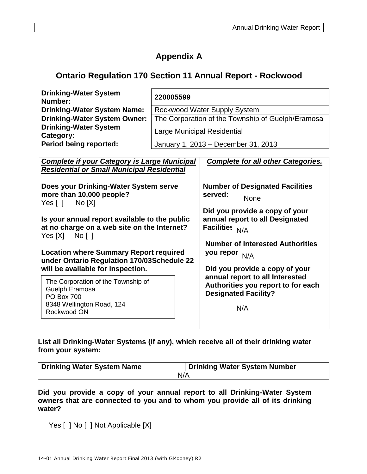## **Appendix A**

### **Ontario Regulation 170 Section 11 Annual Report - Rockwood**

| <b>Drinking-Water System</b><br>Number:   | 220005599                                         |
|-------------------------------------------|---------------------------------------------------|
| <b>Drinking-Water System Name:</b>        | Rockwood Water Supply System                      |
| <b>Drinking-Water System Owner:</b>       | The Corporation of the Township of Guelph/Eramosa |
| <b>Drinking-Water System</b><br>Category: | <b>Large Municipal Residential</b>                |
| <b>Period being reported:</b>             | January 1, 2013 - December 31, 2013               |

| <b>Complete if your Category is Large Municipal</b><br><b>Residential or Small Municipal Residential</b>                                                                                                                                                                                                                                  | <b>Complete for all other Categories.</b>                                                                                                                                                                                                             |
|-------------------------------------------------------------------------------------------------------------------------------------------------------------------------------------------------------------------------------------------------------------------------------------------------------------------------------------------|-------------------------------------------------------------------------------------------------------------------------------------------------------------------------------------------------------------------------------------------------------|
| Does your Drinking-Water System serve<br>more than 10,000 people?<br>Yes [ ] No [X]<br>Is your annual report available to the public<br>at no charge on a web site on the Internet?<br>$Yes[X]$ No []<br><b>Location where Summary Report required</b><br>under Ontario Regulation 170/03Schedule 22<br>will be available for inspection. | <b>Number of Designated Facilities</b><br>served:<br><b>None</b><br>Did you provide a copy of your<br>annual report to all Designated<br>Facilities N/A<br><b>Number of Interested Authorities</b><br>you repor N/A<br>Did you provide a copy of your |
| The Corporation of the Township of<br>Guelph Eramosa<br><b>PO Box 700</b><br>8348 Wellington Road, 124<br>Rockwood ON                                                                                                                                                                                                                     | annual report to all Interested<br>Authorities you report to for each<br><b>Designated Facility?</b><br>N/A                                                                                                                                           |

**List all Drinking-Water Systems (if any), which receive all of their drinking water from your system:**

| Drinking Water System Name | Drinking Water System Number |
|----------------------------|------------------------------|
| N/A                        |                              |

**Did you provide a copy of your annual report to all Drinking-Water System owners that are connected to you and to whom you provide all of its drinking water?** 

Yes [ ] No [ ] Not Applicable [X]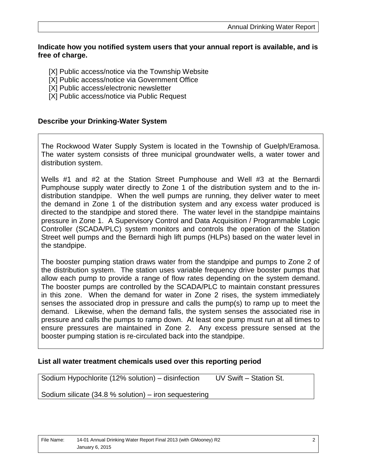#### **Indicate how you notified system users that your annual report is available, and is free of charge.**

- [X] Public access/notice via the Township Website
- [X] Public access/notice via Government Office
- [X] Public access/electronic newsletter
- [X] Public access/notice via Public Request

#### **Describe your Drinking-Water System**

The Rockwood Water Supply System is located in the Township of Guelph/Eramosa. The water system consists of three municipal groundwater wells, a water tower and distribution system.

Wells #1 and #2 at the Station Street Pumphouse and Well #3 at the Bernardi Pumphouse supply water directly to Zone 1 of the distribution system and to the indistribution standpipe. When the well pumps are running, they deliver water to meet the demand in Zone 1 of the distribution system and any excess water produced is directed to the standpipe and stored there. The water level in the standpipe maintains pressure in Zone 1. A Supervisory Control and Data Acquisition / Programmable Logic Controller (SCADA/PLC) system monitors and controls the operation of the Station Street well pumps and the Bernardi high lift pumps (HLPs) based on the water level in the standpipe.

The booster pumping station draws water from the standpipe and pumps to Zone 2 of the distribution system. The station uses variable frequency drive booster pumps that allow each pump to provide a range of flow rates depending on the system demand. The booster pumps are controlled by the SCADA/PLC to maintain constant pressures in this zone. When the demand for water in Zone 2 rises, the system immediately senses the associated drop in pressure and calls the pump(s) to ramp up to meet the demand. Likewise, when the demand falls, the system senses the associated rise in pressure and calls the pumps to ramp down. At least one pump must run at all times to ensure pressures are maintained in Zone 2. Any excess pressure sensed at the booster pumping station is re-circulated back into the standpipe.

#### **List all water treatment chemicals used over this reporting period**

Sodium Hypochlorite (12% solution) – disinfection UV Swift – Station St.

Sodium silicate (34.8 % solution) – iron sequestering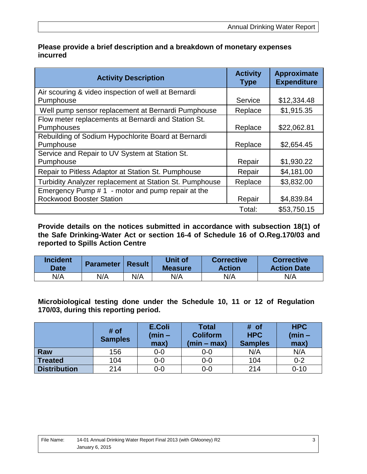| <b>Activity Description</b>                             | <b>Activity</b><br><b>Type</b> | Approximate<br><b>Expenditure</b> |
|---------------------------------------------------------|--------------------------------|-----------------------------------|
| Air scouring & video inspection of well at Bernardi     |                                |                                   |
| Pumphouse                                               | Service                        | \$12,334.48                       |
| Well pump sensor replacement at Bernardi Pumphouse      | Replace                        | \$1,915.35                        |
| Flow meter replacements at Bernardi and Station St.     |                                |                                   |
| Pumphouses                                              | Replace                        | \$22,062.81                       |
| Rebuilding of Sodium Hypochlorite Board at Bernardi     |                                |                                   |
| Pumphouse                                               | Replace                        | \$2,654.45                        |
| Service and Repair to UV System at Station St.          |                                |                                   |
| Pumphouse                                               | Repair                         | \$1,930.22                        |
| Repair to Pitless Adaptor at Station St. Pumphouse      | Repair                         | \$4,181.00                        |
| Turbidity Analyzer replacement at Station St. Pumphouse | Replace                        | \$3,832.00                        |
| Emergency Pump #1 - motor and pump repair at the        |                                |                                   |
| <b>Rockwood Booster Station</b>                         | Repair                         | \$4,839.84                        |
|                                                         | Total:                         | \$53,750.15                       |

#### **Please provide a brief description and a breakdown of monetary expenses incurred**

**Provide details on the notices submitted in accordance with subsection 18(1) of the Safe Drinking-Water Act or section 16-4 of Schedule 16 of O.Reg.170/03 and reported to Spills Action Centre** 

| <b>Incident</b><br><b>Date</b> | <b>Parameter</b> | <b>Result</b> | Unit of<br><b>Measure</b> | <b>Corrective</b><br><b>Action</b> | <b>Corrective</b><br><b>Action Date</b> |
|--------------------------------|------------------|---------------|---------------------------|------------------------------------|-----------------------------------------|
| N/A                            | N/A              | N/A           | N/A                       | N/A                                | N/A                                     |

**Microbiological testing done under the Schedule 10, 11 or 12 of Regulation 170/03, during this reporting period.** 

|                     | # of<br><b>Samples</b> | E.Coli<br>$(min -$<br>max) | <b>Total</b><br><b>Coliform</b><br>$(min - max)$ | # of<br><b>HPC</b><br><b>Samples</b> | <b>HPC</b><br>$(min -$<br>max) |
|---------------------|------------------------|----------------------------|--------------------------------------------------|--------------------------------------|--------------------------------|
| Raw                 | 156                    | $0-0$                      | 0-0                                              | N/A                                  | N/A                            |
| <b>Treated</b>      | 104                    | $0-0$                      | $0-0$                                            | 104                                  | $0 - 2$                        |
| <b>Distribution</b> | 214                    | $0-0$                      | 0-0                                              | 214                                  | $0 - 10$                       |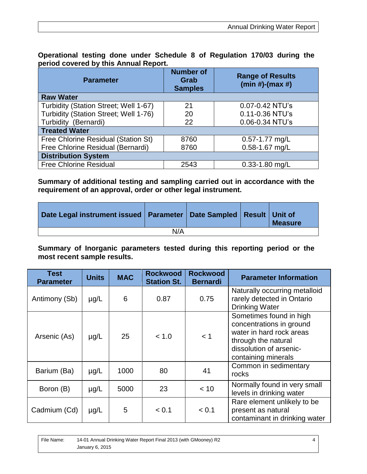0.11-0.36 NTU's 0.06-0.34 NTU's

0.57-1.77 mg/L 0.58-1.67 mg/L

| Operational testing done under ochedule o or regulation rrollo during the<br>period covered by this Annual Report. |                                            |                                              |  |  |  |  |  |  |
|--------------------------------------------------------------------------------------------------------------------|--------------------------------------------|----------------------------------------------|--|--|--|--|--|--|
| <b>Parameter</b>                                                                                                   | <b>Number of</b><br>Grab<br><b>Samples</b> | <b>Range of Results</b><br>$(min #)-(max #)$ |  |  |  |  |  |  |
| <b>Raw Water</b>                                                                                                   |                                            |                                              |  |  |  |  |  |  |
| Turbidity (Station Street; Well 1-67)                                                                              | 21                                         | 0.07-0.42 NTU's                              |  |  |  |  |  |  |

20 22

8760 8760

Turbidity (Station Street; Well 1-76)

Free Chlorine Residual (Station St) Free Chlorine Residual (Bernardi)

Turbidity (Bernardi)

**Distribution System**

**Treated Water**

**Operational testing done under Schedule 8 of Regulation 170/03 during the** 

**Summary of additional testing and sampling carried out in accordance with the requirement of an approval, order or other legal instrument.**

Free Chlorine Residual 1991 | 2543 | 0.33-1.80 mg/L

| Date Legal instrument issued   Parameter   Date Sampled   Result   Unit of |     |  | <b>Measure</b> |
|----------------------------------------------------------------------------|-----|--|----------------|
|                                                                            | N/A |  |                |

**Summary of Inorganic parameters tested during this reporting period or the most recent sample results.** 

| <b>Test</b><br><b>Parameter</b> | <b>Units</b> | <b>MAC</b> | <b>Rockwood</b><br><b>Station St.</b> | <b>Rockwood</b><br><b>Bernardi</b> | <b>Parameter Information</b>                                                                                                                             |
|---------------------------------|--------------|------------|---------------------------------------|------------------------------------|----------------------------------------------------------------------------------------------------------------------------------------------------------|
| Antimony (Sb)                   | $\mu$ g/L    | 6          | 0.87                                  | 0.75                               | Naturally occurring metalloid<br>rarely detected in Ontario<br><b>Drinking Water</b>                                                                     |
| Arsenic (As)                    | $\mu$ g/L    | 25         | < 1.0                                 | < 1                                | Sometimes found in high<br>concentrations in ground<br>water in hard rock areas<br>through the natural<br>dissolution of arsenic-<br>containing minerals |
| Barium (Ba)                     | $\mu$ g/L    | 1000       | 80                                    | 41                                 | Common in sedimentary<br>rocks                                                                                                                           |
| Boron (B)                       | $\mu$ g/L    | 5000       | 23                                    | < 10                               | Normally found in very small<br>levels in drinking water                                                                                                 |
| Cadmium (Cd)                    | $\mu$ g/L    | 5          | < 0.1                                 | < 0.1                              | Rare element unlikely to be<br>present as natural<br>contaminant in drinking water                                                                       |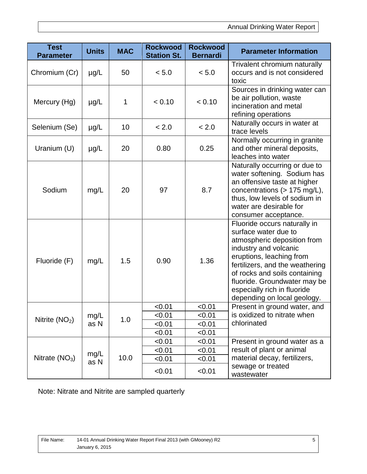| <b>Test</b><br><b>Parameter</b> | <b>Units</b> | <b>MAC</b> | <b>Rockwood</b><br><b>Station St.</b> | <b>Rockwood</b><br><b>Bernardi</b> | <b>Parameter Information</b>                                                                                                                                                                                                                                                                               |
|---------------------------------|--------------|------------|---------------------------------------|------------------------------------|------------------------------------------------------------------------------------------------------------------------------------------------------------------------------------------------------------------------------------------------------------------------------------------------------------|
| Chromium (Cr)                   | $\mu$ g/L    | 50         | < 5.0                                 | < 5.0                              | Trivalent chromium naturally<br>occurs and is not considered<br>toxic                                                                                                                                                                                                                                      |
| Mercury (Hg)                    | $\mu$ g/L    | 1          | < 0.10                                | < 0.10                             | Sources in drinking water can<br>be air pollution, waste<br>incineration and metal<br>refining operations                                                                                                                                                                                                  |
| Selenium (Se)                   | $\mu$ g/L    | 10         | < 2.0                                 | < 2.0                              | Naturally occurs in water at<br>trace levels                                                                                                                                                                                                                                                               |
| Uranium (U)                     | $\mu$ g/L    | 20         | 0.80                                  | 0.25                               | Normally occurring in granite<br>and other mineral deposits,<br>leaches into water                                                                                                                                                                                                                         |
| Sodium                          | mg/L         | 20         | 97                                    | 8.7                                | Naturally occurring or due to<br>water softening. Sodium has<br>an offensive taste at higher<br>concentrations (> 175 mg/L),<br>thus, low levels of sodium in<br>water are desirable for<br>consumer acceptance.                                                                                           |
| Fluoride (F)                    | mg/L         | 1.5        | 0.90                                  | 1.36                               | Fluoride occurs naturally in<br>surface water due to<br>atmospheric deposition from<br>industry and volcanic<br>eruptions, leaching from<br>fertilizers, and the weathering<br>of rocks and soils containing<br>fluoride. Groundwater may be<br>especially rich in fluoride<br>depending on local geology. |
|                                 |              |            | < 0.01                                | < 0.01                             | Present in ground water, and                                                                                                                                                                                                                                                                               |
| Nitrite $(NO2)$                 | mg/L         | 1.0        | < 0.01                                | < 0.01                             | is oxidized to nitrate when                                                                                                                                                                                                                                                                                |
|                                 | as N         |            | < 0.01                                | < 0.01                             | chlorinated                                                                                                                                                                                                                                                                                                |
|                                 |              |            | < 0.01                                | < 0.01                             |                                                                                                                                                                                                                                                                                                            |
|                                 |              |            | < 0.01                                | < 0.01                             | Present in ground water as a                                                                                                                                                                                                                                                                               |
|                                 | mg/L         |            | < 0.01                                | < 0.01                             | result of plant or animal                                                                                                                                                                                                                                                                                  |
| Nitrate $(NO3)$                 | as N         | 10.0       | < 0.01                                | < 0.01                             | material decay, fertilizers,                                                                                                                                                                                                                                                                               |
|                                 |              |            | < 0.01                                | < 0.01                             | sewage or treated<br>wastewater                                                                                                                                                                                                                                                                            |

Note: Nitrate and Nitrite are sampled quarterly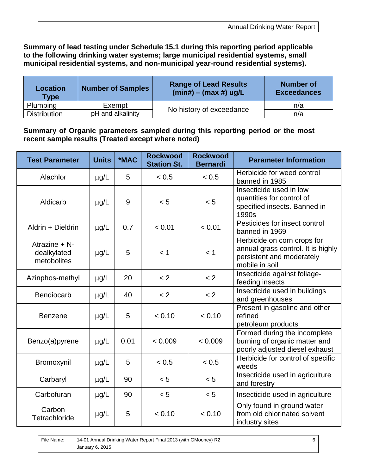#### **Summary of lead testing under Schedule 15.1 during this reporting period applicable to the following drinking water systems; large municipal residential systems, small municipal residential systems, and non-municipal year-round residential systems).**

| <b>Location</b><br><b>Type</b> | <b>Number of Samples</b> | <b>Range of Lead Results</b><br>$(min#) - (max #) ug/L$ | <b>Number of</b><br><b>Exceedances</b> |
|--------------------------------|--------------------------|---------------------------------------------------------|----------------------------------------|
| <b>Plumbing</b>                | Exempt                   | No history of exceedance                                | n/a                                    |
| <b>Distribution</b>            | pH and alkalinity        |                                                         | n/a                                    |

#### **Summary of Organic parameters sampled during this reporting period or the most recent sample results (Treated except where noted)**

| <b>Test Parameter</b>                          | <b>Units</b> | *MAC | <b>Rockwood</b><br><b>Station St.</b> | <b>Rockwood</b><br><b>Bernardi</b> | <b>Parameter Information</b>                                                                                     |
|------------------------------------------------|--------------|------|---------------------------------------|------------------------------------|------------------------------------------------------------------------------------------------------------------|
| Alachlor                                       | $\mu$ g/L    | 5    | < 0.5                                 | < 0.5                              | Herbicide for weed control<br>banned in 1985                                                                     |
| Aldicarb                                       | $\mu$ g/L    | 9    | < 5                                   | < 5                                | Insecticide used in low<br>quantities for control of<br>specified insects. Banned in<br>1990s                    |
| Aldrin + Dieldrin                              | $\mu$ g/L    | 0.7  | < 0.01                                | < 0.01                             | Pesticides for insect control<br>banned in 1969                                                                  |
| Atrazine $+ N$ -<br>dealkylated<br>metobolites | $\mu$ g/L    | 5    | < 1                                   | < 1                                | Herbicide on corn crops for<br>annual grass control. It is highly<br>persistent and moderately<br>mobile in soil |
| Azinphos-methyl                                | $\mu$ g/L    | 20   | < 2                                   | < 2                                | Insecticide against foliage-<br>feeding insects                                                                  |
| <b>Bendiocarb</b>                              | $\mu$ g/L    | 40   | < 2                                   | < 2                                | Insecticide used in buildings<br>and greenhouses                                                                 |
| <b>Benzene</b>                                 | $\mu$ g/L    | 5    | < 0.10                                | < 0.10                             | Present in gasoline and other<br>refined<br>petroleum products                                                   |
| Benzo(a)pyrene                                 | $\mu$ g/L    | 0.01 | < 0.009                               | < 0.009                            | Formed during the incomplete<br>burning of organic matter and<br>poorly adjusted diesel exhaust                  |
| Bromoxynil                                     | $\mu$ g/L    | 5    | < 0.5                                 | < 0.5                              | Herbicide for control of specific<br>weeds                                                                       |
| Carbaryl                                       | $\mu$ g/L    | 90   | < 5                                   | < 5                                | Insecticide used in agriculture<br>and forestry                                                                  |
| Carbofuran                                     | $\mu$ g/L    | 90   | < 5                                   | < 5                                | Insecticide used in agriculture                                                                                  |
| Carbon<br>Tetrachloride                        | $\mu$ g/L    | 5    | < 0.10                                | < 0.10                             | Only found in ground water<br>from old chlorinated solvent<br>industry sites                                     |

File Name: 14-01 Annual Drinking Water Report Final 2013 (with GMooney) R2 January 6, 2015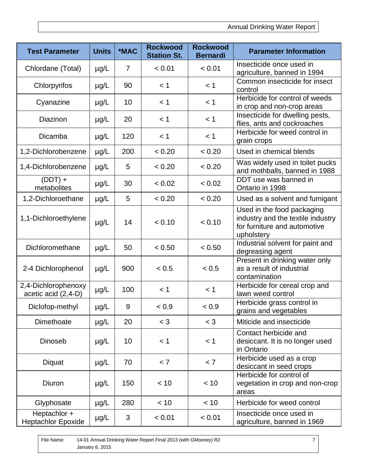| <b>Test Parameter</b>                      | <b>Units</b> | *MAC           | <b>Rockwood</b><br><b>Station St.</b> | <b>Rockwood</b><br><b>Bernardi</b> | <b>Parameter Information</b>                                                                                  |
|--------------------------------------------|--------------|----------------|---------------------------------------|------------------------------------|---------------------------------------------------------------------------------------------------------------|
| Chlordane (Total)                          | $\mu$ g/L    | $\overline{7}$ | < 0.01                                | < 0.01                             | Insecticide once used in<br>agriculture, banned in 1994                                                       |
| Chlorpyrifos                               | $\mu$ g/L    | 90             | < 1                                   | < 1                                | Common insecticide for insect<br>control                                                                      |
| Cyanazine                                  | $\mu$ g/L    | 10             | < 1                                   | < 1                                | Herbicide for control of weeds<br>in crop and non-crop areas                                                  |
| Diazinon                                   | $\mu$ g/L    | 20             | $<$ 1                                 | < 1                                | Insecticide for dwelling pests,<br>flies, ants and cockroaches                                                |
| Dicamba                                    | $\mu$ g/L    | 120            | < 1                                   | < 1                                | Herbicide for weed control in<br>grain crops                                                                  |
| 1,2-Dichlorobenzene                        | $\mu$ g/L    | 200            | < 0.20                                | < 0.20                             | Used in chemical blends                                                                                       |
| 1,4-Dichlorobenzene                        | $\mu$ g/L    | 5              | < 0.20                                | < 0.20                             | Was widely used in toilet pucks<br>and mothballs, banned in 1988                                              |
| $(DDT) +$<br>metabolites                   | $\mu$ g/L    | 30             | < 0.02                                | < 0.02                             | DDT use was banned in<br>Ontario in 1998                                                                      |
| 1,2-Dichloroethane                         | $\mu$ g/L    | 5              | < 0.20                                | < 0.20                             | Used as a solvent and fumigant                                                                                |
| 1,1-Dichloroethylene                       | $\mu$ g/L    | 14             | < 0.10                                | < 0.10                             | Used in the food packaging<br>industry and the textile industry<br>for furniture and automotive<br>upholstery |
| Dichloromethane                            | $\mu$ g/L    | 50             | < 0.50                                | < 0.50                             | Industrial solvent for paint and<br>degreasing agent                                                          |
| 2-4 Dichlorophenol                         | $\mu$ g/L    | 900            | < 0.5                                 | < 0.5                              | Present in drinking water only<br>as a result of industrial<br>contamination                                  |
| 2,4-Dichlorophenoxy<br>acetic acid (2,4-D) | $\mu$ g/L    | 100            | < 1                                   | < 1                                | Herbicide for cereal crop and<br>lawn weed control                                                            |
| Diclofop-methyl                            | µg/L         | 9              | < 0.9                                 | < 0.9                              | Herbicide grass control in<br>grains and vegetables                                                           |
| Dimethoate                                 | $\mu$ g/L    | 20             | $<$ 3                                 | $<$ 3                              | Miticide and insecticide                                                                                      |
| Dinoseb                                    | $\mu$ g/L    | 10             | < 1                                   | < 1                                | Contact herbicide and<br>desiccant. It is no longer used<br>in Ontario                                        |
| Diquat                                     | $\mu$ g/L    | 70             | < 7                                   | < 7                                | Herbicide used as a crop<br>desiccant in seed crops                                                           |
| Diuron                                     | $\mu$ g/L    | 150            | < 10                                  | < 10                               | Herbicide for control of<br>vegetation in crop and non-crop<br>areas                                          |
| Glyphosate                                 | $\mu$ g/L    | 280            | < 10                                  | < 10                               | Herbicide for weed control                                                                                    |
| Heptachlor +<br><b>Heptachlor Epoxide</b>  | $\mu$ g/L    | 3              | < 0.01                                | < 0.01                             | Insecticide once used in<br>agriculture, banned in 1969                                                       |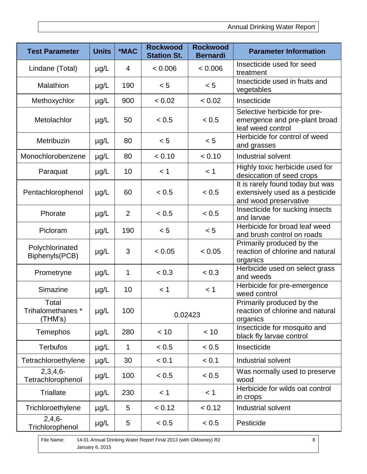| <b>Test Parameter</b>                 | <b>Units</b> | *MAC           | <b>Rockwood</b><br><b>Station St.</b> | <b>Rockwood</b><br><b>Bernardi</b> | <b>Parameter Information</b>                                                                 |
|---------------------------------------|--------------|----------------|---------------------------------------|------------------------------------|----------------------------------------------------------------------------------------------|
| Lindane (Total)                       | $\mu$ g/L    | $\overline{4}$ | < 0.006                               | < 0.006                            | Insecticide used for seed<br>treatment                                                       |
| Malathion                             | $\mu$ g/L    | 190            | < 5                                   | < 5                                | Insecticide used in fruits and<br>vegetables                                                 |
| Methoxychlor                          | $\mu$ g/L    | 900            | < 0.02                                | < 0.02                             | Insecticide                                                                                  |
| Metolachlor                           | $\mu$ g/L    | 50             | < 0.5                                 | < 0.5                              | Selective herbicide for pre-<br>emergence and pre-plant broad<br>leaf weed control           |
| Metribuzin                            | $\mu$ g/L    | 80             | < 5                                   | < 5                                | Herbicide for control of weed<br>and grasses                                                 |
| Monochlorobenzene                     | $\mu$ g/L    | 80             | < 0.10                                | < 0.10                             | Industrial solvent                                                                           |
| Paraquat                              | $\mu$ g/L    | 10             | < 1                                   | < 1                                | Highly toxic herbicide used for<br>desiccation of seed crops                                 |
| Pentachlorophenol                     | $\mu$ g/L    | 60             | < 0.5                                 | < 0.5                              | It is rarely found today but was<br>extensively used as a pesticide<br>and wood preservative |
| Phorate                               | $\mu$ g/L    | $\overline{2}$ | < 0.5                                 | < 0.5                              | Insecticide for sucking insects<br>and larvae                                                |
| Picloram                              | $\mu$ g/L    | 190            | < 5                                   | < 5                                | Herbicide for broad leaf weed<br>and brush control on roads                                  |
| Polychlorinated<br>Biphenyls(PCB)     | $\mu$ g/L    | 3              | < 0.05                                | < 0.05                             | Primarily produced by the<br>reaction of chlorine and natural<br>organics                    |
| Prometryne                            | $\mu$ g/L    | $\mathbf 1$    | < 0.3                                 | < 0.3                              | Herbicide used on select grass<br>and weeds                                                  |
| Simazine                              | $\mu$ g/L    | 10             | < 1                                   | < 1                                | Herbicide for pre-emergence<br>weed control                                                  |
| Total<br>Trihalomethanes *<br>(THM's) | $\mu g/L$    | 100            | 0.02423                               |                                    | Primarily produced by the<br>reaction of chlorine and natural<br>organics                    |
| Temephos                              | $\mu$ g/L    | 280            | < 10                                  | < 10                               | Insecticide for mosquito and<br>black fly larvae control                                     |
| <b>Terbufos</b>                       | $\mu$ g/L    | 1              | < 0.5                                 | < 0.5                              | Insecticide                                                                                  |
| Tetrachloroethylene                   | $\mu$ g/L    | 30             | < 0.1                                 | < 0.1                              | Industrial solvent                                                                           |
| $2,3,4,6-$<br>Tetrachlorophenol       | µg/L         | 100            | < 0.5                                 | < 0.5                              | Was normally used to preserve<br>wood                                                        |
| <b>Triallate</b>                      | $\mu$ g/L    | 230            | < 1                                   | < 1                                | Herbicide for wilds oat control<br>in crops                                                  |
| Trichloroethylene                     | $\mu$ g/L    | 5              | < 0.12                                | < 0.12                             | Industrial solvent                                                                           |
| $2,4,6-$<br>Trichlorophenol           | $\mu$ g/L    | 5              | < 0.5<br>< 0.5                        |                                    | Pesticide                                                                                    |

File Name: 14-01 Annual Drinking Water Report Final 2013 (with GMooney) R2 January 6, 2015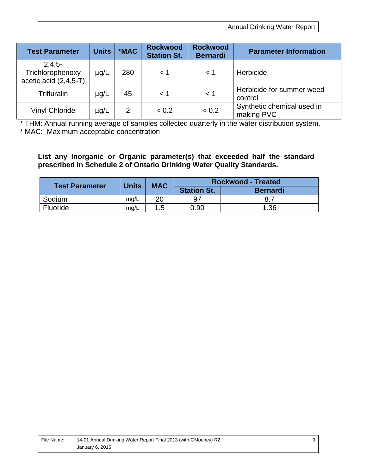Annual Drinking Water Report

| <b>Test Parameter</b>                                   | <b>Units</b> | *MAC           | <b>Rockwood</b><br><b>Station St.</b> | <b>Rockwood</b><br><b>Bernardi</b> | <b>Parameter Information</b>             |
|---------------------------------------------------------|--------------|----------------|---------------------------------------|------------------------------------|------------------------------------------|
| $2,4,5-$<br>Trichlorophenoxy<br>acetic acid $(2,4,5-T)$ | $\mu$ g/L    | 280            | < 1                                   | $\leq 1$                           | Herbicide                                |
| Trifluralin                                             | $\mu$ g/L    | 45             | < 1                                   | $<$ 1                              | Herbicide for summer weed<br>control     |
| Vinyl Chloride                                          | $\mu$ g/L    | $\overline{2}$ | < 0.2                                 | < 0.2                              | Synthetic chemical used in<br>making PVC |

\* THM: Annual running average of samples collected quarterly in the water distribution system. \* MAC: Maximum acceptable concentration

**List any Inorganic or Organic parameter(s) that exceeded half the standard prescribed in Schedule 2 of Ontario Drinking Water Quality Standards.**

| <b>Test Parameter</b> | <b>Units</b> | <b>MAC</b> | <b>Rockwood - Treated</b> |                 |  |
|-----------------------|--------------|------------|---------------------------|-----------------|--|
|                       |              |            | <b>Station St.</b>        | <b>Bernardi</b> |  |
| Sodium                | mg/L         | 20         | 97                        |                 |  |
| Fluoride              | mg/L         | 1.5        | 0.90                      | 1.36            |  |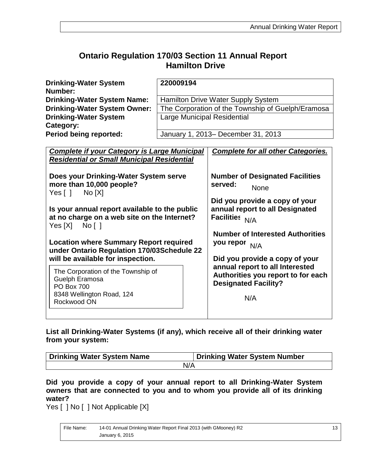### **Ontario Regulation 170/03 Section 11 Annual Report Hamilton Drive**

| <b>Drinking-Water System</b><br>Number: | 220009194                                         |
|-----------------------------------------|---------------------------------------------------|
| <b>Drinking-Water System Name:</b>      | <b>Hamilton Drive Water Supply System</b>         |
| <b>Drinking-Water System Owner:</b>     | The Corporation of the Township of Guelph/Eramosa |
| <b>Drinking-Water System</b>            | <b>Large Municipal Residential</b>                |
| Category:                               |                                                   |
| <b>Period being reported:</b>           | January 1, 2013– December 31, 2013                |

| <b>Complete if your Category is Large Municipal</b>                                         | <b>Complete for all other Categories.</b>                                                            |
|---------------------------------------------------------------------------------------------|------------------------------------------------------------------------------------------------------|
| <b>Residential or Small Municipal Residential</b>                                           |                                                                                                      |
| Does your Drinking-Water System serve                                                       | <b>Number of Designated Facilities</b>                                                               |
| more than 10,000 people?                                                                    | served:                                                                                              |
| Yes [ ] No [X]                                                                              | None                                                                                                 |
|                                                                                             | Did you provide a copy of your                                                                       |
| Is your annual report available to the public                                               | annual report to all Designated                                                                      |
| at no charge on a web site on the Internet?<br>$Yes[X]$ No []                               | Facilities N/A                                                                                       |
|                                                                                             | <b>Number of Interested Authorities</b>                                                              |
| <b>Location where Summary Report required</b><br>under Ontario Regulation 170/03Schedule 22 | you repor N/A                                                                                        |
| will be available for inspection.                                                           | Did you provide a copy of your                                                                       |
| The Corporation of the Township of<br>Guelph Eramosa<br><b>PO Box 700</b>                   | annual report to all Interested<br>Authorities you report to for each<br><b>Designated Facility?</b> |
| 8348 Wellington Road, 124<br>Rockwood ON                                                    | N/A                                                                                                  |
|                                                                                             |                                                                                                      |

**List all Drinking-Water Systems (if any), which receive all of their drinking water from your system:**

| Drinking Water System Name | Drinking Water System Number |  |
|----------------------------|------------------------------|--|
| N/A                        |                              |  |

**Did you provide a copy of your annual report to all Drinking-Water System owners that are connected to you and to whom you provide all of its drinking water?** 

Yes [ ] No [ ] Not Applicable [X]

| File Name: | 14-01 Annual Drinking Water Report Final 2013 (with GMooney) R2 |  |
|------------|-----------------------------------------------------------------|--|
|            | January 6, 2015                                                 |  |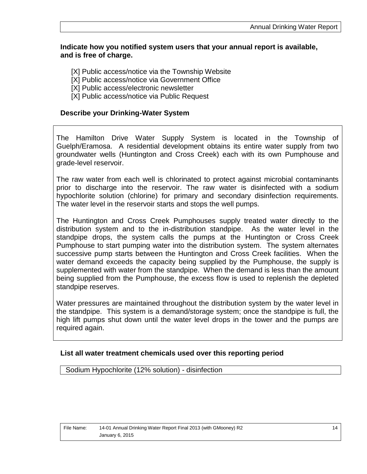#### **Indicate how you notified system users that your annual report is available, and is free of charge.**

- [X] Public access/notice via the Township Website
- [X] Public access/notice via Government Office
- [X] Public access/electronic newsletter
- [X] Public access/notice via Public Request

#### **Describe your Drinking-Water System**

The Hamilton Drive Water Supply System is located in the Township of Guelph/Eramosa. A residential development obtains its entire water supply from two groundwater wells (Huntington and Cross Creek) each with its own Pumphouse and grade-level reservoir.

The raw water from each well is chlorinated to protect against microbial contaminants prior to discharge into the reservoir. The raw water is disinfected with a sodium hypochlorite solution (chlorine) for primary and secondary disinfection requirements. The water level in the reservoir starts and stops the well pumps.

The Huntington and Cross Creek Pumphouses supply treated water directly to the distribution system and to the in-distribution standpipe. As the water level in the standpipe drops, the system calls the pumps at the Huntington or Cross Creek Pumphouse to start pumping water into the distribution system. The system alternates successive pump starts between the Huntington and Cross Creek facilities. When the water demand exceeds the capacity being supplied by the Pumphouse, the supply is supplemented with water from the standpipe. When the demand is less than the amount being supplied from the Pumphouse, the excess flow is used to replenish the depleted standpipe reserves.

Water pressures are maintained throughout the distribution system by the water level in the standpipe. This system is a demand/storage system; once the standpipe is full, the high lift pumps shut down until the water level drops in the tower and the pumps are required again.

#### **List all water treatment chemicals used over this reporting period**

Sodium Hypochlorite (12% solution) - disinfection

| File Name: | 14-01 Annual Drinking Water Report Final 2013 (with GMooney) R2 |
|------------|-----------------------------------------------------------------|
|            | January 6, 2015                                                 |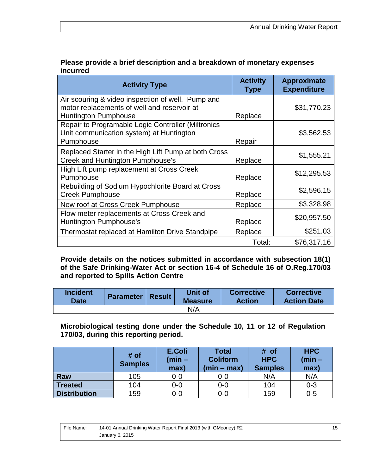| Please provide a brief description and a breakdown of monetary expenses |
|-------------------------------------------------------------------------|
| <i>incurred</i>                                                         |

| <b>Activity Type</b>                                                                                                            | <b>Activity</b><br><b>Type</b> | <b>Approximate</b><br><b>Expenditure</b> |
|---------------------------------------------------------------------------------------------------------------------------------|--------------------------------|------------------------------------------|
| Air scouring & video inspection of well. Pump and<br>motor replacements of well and reservoir at<br><b>Huntington Pumphouse</b> | Replace                        | \$31,770.23                              |
| Repair to Programable Logic Controller (Miltronics<br>Unit communication system) at Huntington<br>Pumphouse                     | Repair                         | \$3,562.53                               |
| Replaced Starter in the High Lift Pump at both Cross<br>Creek and Huntington Pumphouse's                                        | Replace                        | \$1,555.21                               |
| High Lift pump replacement at Cross Creek<br>Pumphouse                                                                          | Replace                        | \$12,295.53                              |
| Rebuilding of Sodium Hypochlorite Board at Cross<br><b>Creek Pumphouse</b>                                                      | Replace                        | \$2,596.15                               |
| New roof at Cross Creek Pumphouse                                                                                               | Replace                        | \$3,328.98                               |
| Flow meter replacements at Cross Creek and<br><b>Huntington Pumphouse's</b>                                                     | Replace                        | \$20,957.50                              |
| Thermostat replaced at Hamilton Drive Standpipe                                                                                 | Replace                        | \$251.03                                 |
|                                                                                                                                 | Total:                         | \$76,317.16                              |

**Provide details on the notices submitted in accordance with subsection 18(1) of the Safe Drinking-Water Act or section 16-4 of Schedule 16 of O.Reg.170/03 and reported to Spills Action Centre** 

| <b>Incident</b><br><b>Date</b> | Parameter   Result | <b>Unit of</b><br><b>Measure</b> | <b>Corrective</b><br><b>Action</b> | <b>Corrective</b><br><b>Action Date</b> |
|--------------------------------|--------------------|----------------------------------|------------------------------------|-----------------------------------------|
|                                |                    | N/A                              |                                    |                                         |

**Microbiological testing done under the Schedule 10, 11 or 12 of Regulation 170/03, during this reporting period.** 

|                     | # of<br><b>Samples</b> | <b>E.Coli</b><br>(min –<br>max) | <b>Total</b><br><b>Coliform</b><br>$(min - max)$ | # of<br><b>HPC</b><br><b>Samples</b> | <b>HPC</b><br>(min –<br>max) |
|---------------------|------------------------|---------------------------------|--------------------------------------------------|--------------------------------------|------------------------------|
| Raw                 | 105                    | $0 - 0$                         | $0-0$                                            | N/A                                  | N/A                          |
| <b>Treated</b>      | 104                    | $0 - 0$                         | $0-0$                                            | 104                                  | $0 - 3$                      |
| <b>Distribution</b> | 159                    | $0-0$                           | $0-0$                                            | 159                                  | $0 - 5$                      |

| File Name: | 14-01 Annual Drinking Water Report Final 2013 (with GMooney) R2 |  |
|------------|-----------------------------------------------------------------|--|
|            | January 6, 2015                                                 |  |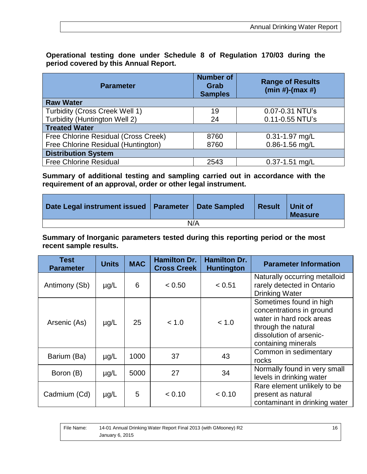**Operational testing done under Schedule 8 of Regulation 170/03 during the period covered by this Annual Report.**

| <b>Parameter</b>                     | <b>Number of</b><br>Grab<br><b>Samples</b> | <b>Range of Results</b><br>$(min #)-(max #)$ |  |  |  |  |  |
|--------------------------------------|--------------------------------------------|----------------------------------------------|--|--|--|--|--|
| <b>Raw Water</b>                     |                                            |                                              |  |  |  |  |  |
| Turbidity (Cross Creek Well 1)       | 19                                         | 0.07-0.31 NTU's                              |  |  |  |  |  |
| Turbidity (Huntington Well 2)        | 24                                         | 0.11-0.55 NTU's                              |  |  |  |  |  |
| <b>Treated Water</b>                 |                                            |                                              |  |  |  |  |  |
| Free Chlorine Residual (Cross Creek) | 8760                                       | $0.31 - 1.97$ mg/L                           |  |  |  |  |  |
| Free Chlorine Residual (Huntington)  | 8760                                       | $0.86 - 1.56$ mg/L                           |  |  |  |  |  |
| <b>Distribution System</b>           |                                            |                                              |  |  |  |  |  |
| <b>Free Chlorine Residual</b>        | 2543                                       | $0.37 - 1.51$ mg/L                           |  |  |  |  |  |

**Summary of additional testing and sampling carried out in accordance with the requirement of an approval, order or other legal instrument.**

| Date Legal instrument issued   Parameter |  | Date Sampled | <b>Result</b> | ∣ Unit of<br><b>Measure</b> |  |
|------------------------------------------|--|--------------|---------------|-----------------------------|--|
| N/A                                      |  |              |               |                             |  |

**Summary of Inorganic parameters tested during this reporting period or the most recent sample results.** 

| <b>Test</b><br><b>Parameter</b> | <b>Units</b> | <b>MAC</b> | <b>Hamilton Dr.</b><br><b>Cross Creek</b> | <b>Hamilton Dr.</b><br><b>Huntington</b> | <b>Parameter Information</b>                                                                                                                             |
|---------------------------------|--------------|------------|-------------------------------------------|------------------------------------------|----------------------------------------------------------------------------------------------------------------------------------------------------------|
| Antimony (Sb)                   | $\mu$ g/L    | 6          | < 0.50                                    | < 0.51                                   | Naturally occurring metalloid<br>rarely detected in Ontario<br><b>Drinking Water</b>                                                                     |
| Arsenic (As)                    | $\mu$ g/L    | 25         | < 1.0                                     | < 1.0                                    | Sometimes found in high<br>concentrations in ground<br>water in hard rock areas<br>through the natural<br>dissolution of arsenic-<br>containing minerals |
| Barium (Ba)                     | $\mu$ g/L    | 1000       | 37                                        | 43                                       | Common in sedimentary<br>rocks                                                                                                                           |
| Boron (B)                       | $\mu$ g/L    | 5000       | 27                                        | 34                                       | Normally found in very small<br>levels in drinking water                                                                                                 |
| Cadmium (Cd)                    | $\mu$ g/L    | 5          | < 0.10                                    | < 0.10                                   | Rare element unlikely to be<br>present as natural<br>contaminant in drinking water                                                                       |

| File Name: | 14-01 Annual Drinking Water Report Final 2013 (with GMooney) R2 | 16 |  |
|------------|-----------------------------------------------------------------|----|--|
|            | January 6, 2015                                                 |    |  |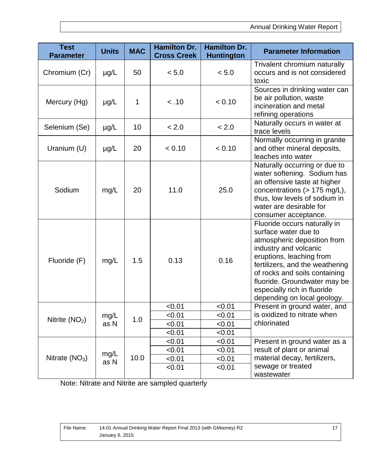| <b>Test</b><br><b>Parameter</b> | <b>Units</b> | <b>MAC</b> | <b>Hamilton Dr.</b><br><b>Cross Creek</b> | <b>Hamilton Dr.</b><br><b>Huntington</b> | <b>Parameter Information</b>                                                                                                                                                                                                                                                                               |
|---------------------------------|--------------|------------|-------------------------------------------|------------------------------------------|------------------------------------------------------------------------------------------------------------------------------------------------------------------------------------------------------------------------------------------------------------------------------------------------------------|
| Chromium (Cr)                   | $\mu$ g/L    | 50         | < 5.0                                     | < 5.0                                    | Trivalent chromium naturally<br>occurs and is not considered<br>toxic                                                                                                                                                                                                                                      |
| Mercury (Hg)                    | $\mu$ g/L    | 1          | < .10                                     | < 0.10                                   | Sources in drinking water can<br>be air pollution, waste<br>incineration and metal<br>refining operations                                                                                                                                                                                                  |
| Selenium (Se)                   | $\mu$ g/L    | 10         | < 2.0                                     | < 2.0                                    | Naturally occurs in water at<br>trace levels                                                                                                                                                                                                                                                               |
| Uranium (U)                     | $\mu$ g/L    | 20         | < 0.10                                    | < 0.10                                   | Normally occurring in granite<br>and other mineral deposits,<br>leaches into water                                                                                                                                                                                                                         |
| Sodium                          | mg/L         | 20         | 11.0                                      | 25.0                                     | Naturally occurring or due to<br>water softening. Sodium has<br>an offensive taste at higher<br>concentrations (> 175 mg/L),<br>thus, low levels of sodium in<br>water are desirable for<br>consumer acceptance.                                                                                           |
| Fluoride (F)                    | mg/L         | 1.5        | 0.13                                      | 0.16                                     | Fluoride occurs naturally in<br>surface water due to<br>atmospheric deposition from<br>industry and volcanic<br>eruptions, leaching from<br>fertilizers, and the weathering<br>of rocks and soils containing<br>fluoride. Groundwater may be<br>especially rich in fluoride<br>depending on local geology. |
|                                 |              |            | < 0.01                                    | < 0.01                                   | Present in ground water, and                                                                                                                                                                                                                                                                               |
| Nitrite $(NO2)$                 | mg/L         | 1.0        | < 0.01                                    | < 0.01                                   | is oxidized to nitrate when                                                                                                                                                                                                                                                                                |
|                                 | as N         |            | < 0.01                                    | < 0.01                                   | chlorinated                                                                                                                                                                                                                                                                                                |
|                                 |              |            | < 0.01                                    | < 0.01                                   |                                                                                                                                                                                                                                                                                                            |
|                                 |              |            | < 0.01                                    | < 0.01                                   | Present in ground water as a                                                                                                                                                                                                                                                                               |
|                                 | mg/L         |            | < 0.01                                    | < 0.01                                   | result of plant or animal                                                                                                                                                                                                                                                                                  |
| Nitrate $(NO3)$                 | as N         | 10.0       | < 0.01                                    | < 0.01                                   | material decay, fertilizers,                                                                                                                                                                                                                                                                               |
|                                 |              |            | < 0.01                                    | < 0.01                                   | sewage or treated<br>wastewater                                                                                                                                                                                                                                                                            |

Note: Nitrate and Nitrite are sampled quarterly

| File Name: | 14-01 Annual Drinking Water Report Final 2013 (with GMooney) R2 |
|------------|-----------------------------------------------------------------|
|            | January 6, 2015                                                 |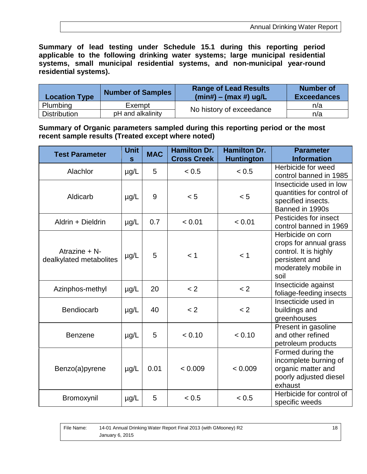**Summary of lead testing under Schedule 15.1 during this reporting period applicable to the following drinking water systems; large municipal residential systems, small municipal residential systems, and non-municipal year-round residential systems).**

| <b>Location Type</b> | <b>Number of Samples</b> | <b>Range of Lead Results</b><br>$(min#) - (max #) ug/L$ | <b>Number of</b><br><b>Exceedances</b> |
|----------------------|--------------------------|---------------------------------------------------------|----------------------------------------|
| Plumbing             | Exempt                   | No history of exceedance                                | n/a                                    |
| <b>Distribution</b>  | pH and alkalinity        |                                                         | n/a                                    |

**Summary of Organic parameters sampled during this reporting period or the most recent sample results (Treated except where noted)**

| <b>Test Parameter</b>                    | <b>Unit</b><br>$\mathbf{s}$ | <b>MAC</b> | <b>Hamilton Dr.</b><br><b>Cross Creek</b> | <b>Hamilton Dr.</b><br><b>Huntington</b> | <b>Parameter</b><br><b>Information</b>                                                                                 |
|------------------------------------------|-----------------------------|------------|-------------------------------------------|------------------------------------------|------------------------------------------------------------------------------------------------------------------------|
| Alachlor                                 | µg/L                        | 5          | < 0.5                                     | < 0.5                                    | Herbicide for weed<br>control banned in 1985                                                                           |
| Aldicarb                                 | µg/L                        | 9          | < 5                                       | < 5                                      | Insecticide used in low<br>quantities for control of<br>specified insects.<br>Banned in 1990s                          |
| Aldrin + Dieldrin                        | µg/L                        | 0.7        | < 0.01                                    | < 0.01                                   | Pesticides for insect<br>control banned in 1969                                                                        |
| Atrazine + N-<br>dealkylated metabolites | µg/L                        | 5          | < 1                                       | < 1                                      | Herbicide on corn<br>crops for annual grass<br>control. It is highly<br>persistent and<br>moderately mobile in<br>soil |
| Azinphos-methyl                          | $\mu$ g/L                   | 20         | < 2                                       | < 2                                      | Insecticide against<br>foliage-feeding insects                                                                         |
| <b>Bendiocarb</b>                        | µg/L                        | 40         | < 2                                       | < 2                                      | Insecticide used in<br>buildings and<br>greenhouses                                                                    |
| <b>Benzene</b>                           | $\mu$ g/L                   | 5          | < 0.10                                    | < 0.10                                   | Present in gasoline<br>and other refined<br>petroleum products                                                         |
| Benzo(a)pyrene                           | µg/L                        | 0.01       | < 0.009                                   | < 0.009                                  | Formed during the<br>incomplete burning of<br>organic matter and<br>poorly adjusted diesel<br>exhaust                  |
| Bromoxynil                               | $\mu$ g/L                   | 5          | < 0.5                                     | < 0.5                                    | Herbicide for control of<br>specific weeds                                                                             |

| File Name: | 14-01 Annual Drinking Water Report Final 2013 (with GMooney) R2 | 18 |
|------------|-----------------------------------------------------------------|----|
|            | January 6, 2015                                                 |    |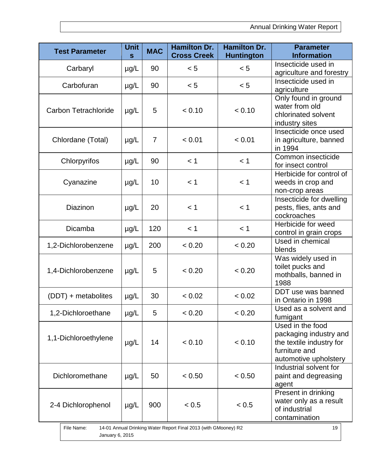| <b>Test Parameter</b>                                                                                  | <b>Unit</b><br>S | <b>MAC</b>     | <b>Hamilton Dr.</b><br><b>Cross Creek</b> | <b>Hamilton Dr.</b><br><b>Huntington</b> | <b>Parameter</b><br><b>Information</b>                                                                           |  |
|--------------------------------------------------------------------------------------------------------|------------------|----------------|-------------------------------------------|------------------------------------------|------------------------------------------------------------------------------------------------------------------|--|
| Carbaryl                                                                                               | $\mu$ g/L        | 90             | < 5                                       | < 5                                      | Insecticide used in<br>agriculture and forestry                                                                  |  |
| Carbofuran                                                                                             | $\mu$ g/L        | 90             | < 5                                       | < 5                                      | Insecticide used in<br>agriculture                                                                               |  |
| <b>Carbon Tetrachloride</b>                                                                            | µg/L             | 5              | < 0.10                                    | < 0.10                                   | Only found in ground<br>water from old<br>chlorinated solvent<br>industry sites                                  |  |
| Chlordane (Total)                                                                                      | $\mu$ g/L        | $\overline{7}$ | < 0.01                                    | < 0.01                                   | Insecticide once used<br>in agriculture, banned<br>in 1994                                                       |  |
| Chlorpyrifos                                                                                           | µg/L             | 90             | < 1                                       | < 1                                      | Common insecticide<br>for insect control                                                                         |  |
| Cyanazine                                                                                              | $\mu$ g/L        | 10             | < 1                                       | < 1                                      | Herbicide for control of<br>weeds in crop and<br>non-crop areas                                                  |  |
| <b>Diazinon</b>                                                                                        | $\mu$ g/L        | 20             | < 1                                       | < 1                                      | Insecticide for dwelling<br>pests, flies, ants and<br>cockroaches                                                |  |
| Dicamba                                                                                                | µg/L             | 120            | < 1                                       | < 1                                      | Herbicide for weed<br>control in grain crops                                                                     |  |
| 1,2-Dichlorobenzene                                                                                    | $\mu$ g/L        | 200            | < 0.20                                    | < 0.20                                   | Used in chemical<br>blends                                                                                       |  |
| 1,4-Dichlorobenzene                                                                                    | $\mu$ g/L        | 5              | < 0.20                                    | < 0.20                                   | Was widely used in<br>toilet pucks and<br>mothballs, banned in<br>1988                                           |  |
| (DDT) + metabolites                                                                                    | µg/L             | 30             | < 0.02                                    | < 0.02                                   | DDT use was banned<br>in Ontario in 1998                                                                         |  |
| 1,2-Dichloroethane                                                                                     | µg/L             | 5              | < 0.20                                    | < 0.20                                   | Used as a solvent and<br>fumigant                                                                                |  |
| 1,1-Dichloroethylene                                                                                   | $\mu$ g/L        | 14             | < 0.10                                    | < 0.10                                   | Used in the food<br>packaging industry and<br>the textile industry for<br>furniture and<br>automotive upholstery |  |
| Dichloromethane                                                                                        | $\mu$ g/L        | 50             | < 0.50                                    | < 0.50                                   | Industrial solvent for<br>paint and degreasing<br>agent                                                          |  |
| 2-4 Dichlorophenol                                                                                     | $\mu$ g/L        | 900            | < 0.5                                     | < 0.5                                    | Present in drinking<br>water only as a result<br>of industrial<br>contamination                                  |  |
| File Name:<br>14-01 Annual Drinking Water Report Final 2013 (with GMooney) R2<br>19<br>January 6, 2015 |                  |                |                                           |                                          |                                                                                                                  |  |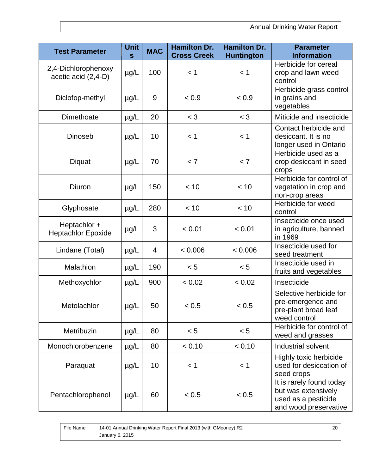| <b>Test Parameter</b>                      | <b>Unit</b><br>$\mathbf{s}$ | <b>MAC</b> | <b>Hamilton Dr.</b><br><b>Cross Creek</b> | <b>Hamilton Dr.</b><br><b>Huntington</b> | <b>Parameter</b><br><b>Information</b>                                                          |
|--------------------------------------------|-----------------------------|------------|-------------------------------------------|------------------------------------------|-------------------------------------------------------------------------------------------------|
| 2,4-Dichlorophenoxy<br>acetic acid (2,4-D) | µg/L                        | 100        | < 1                                       | < 1                                      | Herbicide for cereal<br>crop and lawn weed<br>control                                           |
| Diclofop-methyl                            | µg/L                        | 9          | < 0.9                                     | < 0.9                                    | Herbicide grass control<br>in grains and<br>vegetables                                          |
| Dimethoate                                 | µg/L                        | 20         | $<$ 3                                     | $<$ 3                                    | Miticide and insecticide                                                                        |
| <b>Dinoseb</b>                             | $\mu$ g/L                   | 10         | < 1                                       | < 1                                      | Contact herbicide and<br>desiccant. It is no<br>longer used in Ontario                          |
| Diquat                                     | µg/L                        | 70         | < 7                                       | < 7                                      | Herbicide used as a<br>crop desiccant in seed<br>crops                                          |
| Diuron                                     | $\mu$ g/L                   | 150        | < 10                                      | < 10                                     | Herbicide for control of<br>vegetation in crop and<br>non-crop areas                            |
| Glyphosate                                 | µg/L                        | 280        | < 10                                      | < 10                                     | Herbicide for weed<br>control                                                                   |
| Heptachlor +<br><b>Heptachlor Epoxide</b>  | $\mu$ g/L                   | 3          | < 0.01                                    | < 0.01                                   | Insecticide once used<br>in agriculture, banned<br>in 1969                                      |
| Lindane (Total)                            | µg/L                        | 4          | < 0.006                                   | < 0.006                                  | Insecticide used for<br>seed treatment                                                          |
| Malathion                                  | µg/L                        | 190        | < 5                                       | < 5                                      | Insecticide used in<br>fruits and vegetables                                                    |
| Methoxychlor                               | $\mu$ g/L                   | 900        | < 0.02                                    | < 0.02                                   | Insecticide                                                                                     |
| Metolachlor                                | $\mu$ g/L                   | 50         | < 0.5                                     | < 0.5                                    | Selective herbicide for<br>pre-emergence and<br>pre-plant broad leaf<br>weed control            |
| Metribuzin                                 | µg/L                        | 80         | < 5                                       | < 5                                      | Herbicide for control of<br>weed and grasses                                                    |
| Monochlorobenzene                          | µg/L                        | 80         | < 0.10                                    | < 0.10                                   | Industrial solvent                                                                              |
| Paraquat                                   | µg/L                        | 10         | < 1                                       | < 1                                      | Highly toxic herbicide<br>used for desiccation of<br>seed crops                                 |
| Pentachlorophenol                          | µg/L                        | 60         | < 0.5                                     | < 0.5                                    | It is rarely found today<br>but was extensively<br>used as a pesticide<br>and wood preservative |

| File Name: | 14-01 Annual Drinking Water Report Final 2013 (with GMooney) R2 | 20 |
|------------|-----------------------------------------------------------------|----|
|            | January 6, 2015                                                 |    |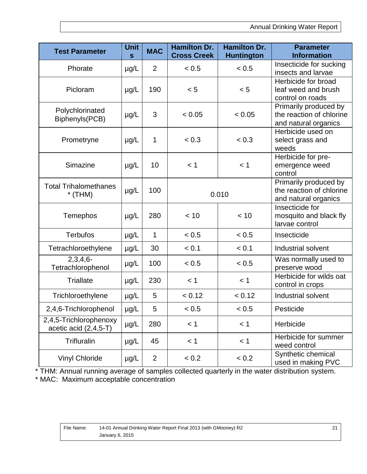| <b>Test Parameter</b>                             | <b>Unit</b><br>$\mathbf{s}$ | <b>MAC</b> | <b>Hamilton Dr.</b><br><b>Cross Creek</b> | <b>Hamilton Dr.</b><br><b>Huntington</b> | <b>Parameter</b><br><b>Information</b>                                    |
|---------------------------------------------------|-----------------------------|------------|-------------------------------------------|------------------------------------------|---------------------------------------------------------------------------|
| Phorate                                           | $\mu$ g/L                   | 2          | < 0.5                                     | < 0.5                                    | Insecticide for sucking<br>insects and larvae                             |
| Picloram                                          | $\mu$ g/L                   | 190        | < 5                                       | < 5                                      | Herbicide for broad<br>leaf weed and brush<br>control on roads            |
| Polychlorinated<br>Biphenyls(PCB)                 | $\mu$ g/L                   | 3          | < 0.05                                    | < 0.05                                   | Primarily produced by<br>the reaction of chlorine<br>and natural organics |
| Prometryne                                        | $\mu$ g/L                   | 1          | < 0.3                                     | < 0.3                                    | Herbicide used on<br>select grass and<br>weeds                            |
| Simazine                                          | $\mu$ g/L                   | 10         | < 1<br>< 1                                |                                          | Herbicide for pre-<br>emergence weed<br>control                           |
| <b>Total Trihalomethanes</b><br>$*$ (THM)         | $\mu$ g/L                   | 100        |                                           | 0.010                                    | Primarily produced by<br>the reaction of chlorine<br>and natural organics |
| Temephos                                          | $\mu$ g/L                   | 280        | < 10                                      | < 10                                     | Insecticide for<br>mosquito and black fly<br>larvae control               |
| <b>Terbufos</b>                                   | $\mu$ g/L                   | 1          | < 0.5                                     | < 0.5                                    | Insecticide                                                               |
| Tetrachloroethylene                               | $\mu$ g/L                   | 30         | < 0.1                                     | < 0.1                                    | Industrial solvent                                                        |
| $2,3,4,6-$<br>Tetrachlorophenol                   | $\mu$ g/L                   | 100        | < 0.5                                     | < 0.5                                    | Was normally used to<br>preserve wood                                     |
| <b>Triallate</b>                                  | $\mu$ g/L                   | 230        | < 1                                       | < 1                                      | Herbicide for wilds oat<br>control in crops                               |
| Trichloroethylene                                 | $\mu$ g/L                   | 5          | < 0.12                                    | < 0.12                                   | Industrial solvent                                                        |
| 2,4,6-Trichlorophenol                             | $\mu$ g/L                   | 5          | < 0.5                                     | < 0.5                                    | Pesticide                                                                 |
| 2,4,5-Trichlorophenoxy<br>acetic acid $(2,4,5-T)$ | µg/L                        | 280        | < 1                                       | < 1                                      | Herbicide                                                                 |
| <b>Trifluralin</b>                                | $\mu$ g/L                   | 45         | < 1                                       | < 1                                      | Herbicide for summer<br>weed control                                      |
| <b>Vinyl Chloride</b>                             | $\mu$ g/L                   | 2          | < 0.2                                     | < 0.2                                    | Synthetic chemical<br>used in making PVC                                  |

\* THM: Annual running average of samples collected quarterly in the water distribution system.

\* MAC: Maximum acceptable concentration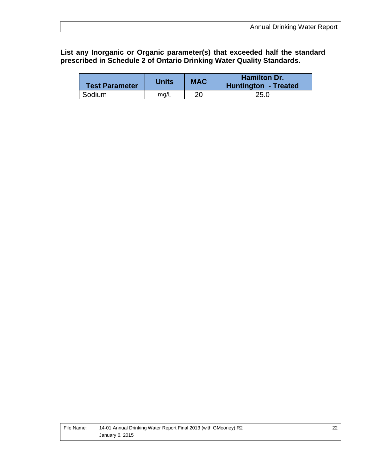#### **List any Inorganic or Organic parameter(s) that exceeded half the standard prescribed in Schedule 2 of Ontario Drinking Water Quality Standards.**

| <b>Test Parameter</b> | Units | <b>MAC</b> | <b>Hamilton Dr.</b><br>Huntington - Treated |
|-----------------------|-------|------------|---------------------------------------------|
| Sodium                | ma/L  | 20         | 25.0                                        |

| File Name: | 14-01 Annual Drinking Water Report Final 2013 (with GMooney) R2 |
|------------|-----------------------------------------------------------------|
|            | January 6, 2015                                                 |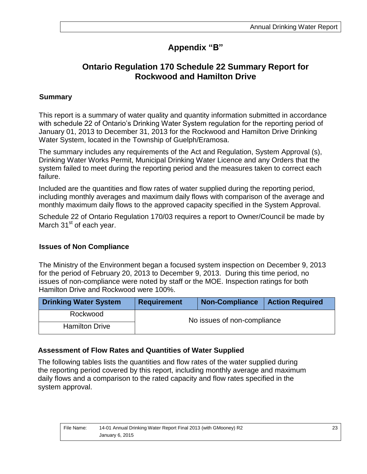## **Appendix "B"**

## **Ontario Regulation 170 Schedule 22 Summary Report for Rockwood and Hamilton Drive**

#### **Summary**

This report is a summary of water quality and quantity information submitted in accordance with schedule 22 of Ontario's Drinking Water System regulation for the reporting period of January 01, 2013 to December 31, 2013 for the Rockwood and Hamilton Drive Drinking Water System, located in the Township of Guelph/Eramosa.

The summary includes any requirements of the Act and Regulation, System Approval (s), Drinking Water Works Permit, Municipal Drinking Water Licence and any Orders that the system failed to meet during the reporting period and the measures taken to correct each failure.

Included are the quantities and flow rates of water supplied during the reporting period, including monthly averages and maximum daily flows with comparison of the average and monthly maximum daily flows to the approved capacity specified in the System Approval.

Schedule 22 of Ontario Regulation 170/03 requires a report to Owner/Council be made by March  $31<sup>st</sup>$  of each year.

#### **Issues of Non Compliance**

The Ministry of the Environment began a focused system inspection on December 9, 2013 for the period of February 20, 2013 to December 9, 2013. During this time period, no issues of non-compliance were noted by staff or the MOE. Inspection ratings for both Hamilton Drive and Rockwood were 100%.

| <b>Drinking Water System</b> | <b>Requirement</b> | <b>Non-Compliance</b>       | <b>Action Required</b> |  |  |
|------------------------------|--------------------|-----------------------------|------------------------|--|--|
| Rockwood                     |                    | No issues of non-compliance |                        |  |  |
| <b>Hamilton Drive</b>        |                    |                             |                        |  |  |

#### **Assessment of Flow Rates and Quantities of Water Supplied**

The following tables lists the quantities and flow rates of the water supplied during the reporting period covered by this report, including monthly average and maximum daily flows and a comparison to the rated capacity and flow rates specified in the system approval.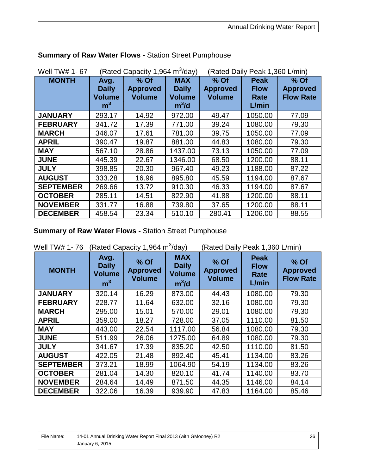| Well TW# 1-67    |                                                         | (Rated Capacity 1,964 m <sup>3</sup> /day) |                                                        | (Rated Daily Peak 1,360 L/min)             |                                             |                                             |  |
|------------------|---------------------------------------------------------|--------------------------------------------|--------------------------------------------------------|--------------------------------------------|---------------------------------------------|---------------------------------------------|--|
| <b>MONTH</b>     | Avg.<br><b>Daily</b><br><b>Volume</b><br>m <sup>3</sup> | $%$ Of<br><b>Approved</b><br><b>Volume</b> | <b>MAX</b><br><b>Daily</b><br><b>Volume</b><br>$m^3/d$ | $%$ Of<br><b>Approved</b><br><b>Volume</b> | <b>Peak</b><br><b>Flow</b><br>Rate<br>L/min | % Of<br><b>Approved</b><br><b>Flow Rate</b> |  |
| <b>JANUARY</b>   | 293.17                                                  | 14.92                                      | 972.00                                                 | 49.47                                      | 1050.00                                     | 77.09                                       |  |
| <b>FEBRUARY</b>  | 341.72                                                  | 17.39                                      | 771.00                                                 | 39.24                                      | 1080.00                                     | 79.30                                       |  |
| <b>MARCH</b>     | 346.07                                                  | 17.61                                      | 781.00                                                 | 39.75                                      | 1050.00                                     | 77.09                                       |  |
| <b>APRIL</b>     | 390.47                                                  | 19.87                                      | 881.00                                                 | 44.83                                      | 1080.00                                     | 79.30                                       |  |
| <b>MAY</b>       | 567.10                                                  | 28.86                                      | 1437.00                                                | 73.13                                      | 1050.00                                     | 77.09                                       |  |
| <b>JUNE</b>      | 445.39                                                  | 22.67                                      | 1346.00                                                | 68.50                                      | 1200.00                                     | 88.11                                       |  |
| <b>JULY</b>      | 398.85                                                  | 20.30                                      | 967.40                                                 | 49.23                                      | 1188.00                                     | 87.22                                       |  |
| <b>AUGUST</b>    | 333.28                                                  | 16.96                                      | 895.80                                                 | 45.59                                      | 1194.00                                     | 87.67                                       |  |
| <b>SEPTEMBER</b> | 269.66                                                  | 13.72                                      | 910.30                                                 | 46.33                                      | 1194.00                                     | 87.67                                       |  |
| <b>OCTOBER</b>   | 285.11                                                  | 14.51                                      | 822.90                                                 | 41.88                                      | 1200.00                                     | 88.11                                       |  |
| <b>NOVEMBER</b>  | 331.77                                                  | 16.88                                      | 739.80                                                 | 37.65                                      | 1200.00                                     | 88.11                                       |  |
| <b>DECEMBER</b>  | 458.54                                                  | 23.34                                      | 510.10                                                 | 280.41                                     | 1206.00                                     | 88.55                                       |  |

#### **Summary of Raw Water Flows -** Station Street Pumphouse

**Summary of Raw Water Flows -** Station Street Pumphouse

| (Rated Capacity 1,964 m <sup>3</sup> /day)<br>Well TW# 1-76 |                                                         |                                            |                                                        | (Rated Daily Peak 1,360 L/min)           |                                                    |                                             |  |
|-------------------------------------------------------------|---------------------------------------------------------|--------------------------------------------|--------------------------------------------------------|------------------------------------------|----------------------------------------------------|---------------------------------------------|--|
| <b>MONTH</b>                                                | Avg.<br><b>Daily</b><br><b>Volume</b><br>m <sup>3</sup> | $%$ Of<br><b>Approved</b><br><b>Volume</b> | <b>MAX</b><br><b>Daily</b><br><b>Volume</b><br>$m^3/d$ | % Of<br><b>Approved</b><br><b>Volume</b> | <b>Peak</b><br><b>Flow</b><br><b>Rate</b><br>L/min | % Of<br><b>Approved</b><br><b>Flow Rate</b> |  |
| <b>JANUARY</b>                                              | 320.14                                                  | 16.29                                      | 873.00                                                 | 44.43                                    | 1080.00                                            | 79.30                                       |  |
| <b>FEBRUARY</b>                                             | 228.77                                                  | 11.64                                      | 632.00                                                 | 32.16                                    | 1080.00                                            | 79.30                                       |  |
| <b>MARCH</b>                                                | 295.00                                                  | 15.01                                      | 570.00                                                 | 29.01                                    | 1080.00                                            | 79.30                                       |  |
| <b>APRIL</b>                                                | 359.00                                                  | 18.27                                      | 728.00                                                 | 37.05                                    | 1110.00                                            | 81.50                                       |  |
| <b>MAY</b>                                                  | 443.00                                                  | 22.54                                      | 1117.00                                                | 56.84                                    | 1080.00                                            | 79.30                                       |  |
| <b>JUNE</b>                                                 | 511.99                                                  | 26.06                                      | 1275.00                                                | 64.89                                    | 1080.00                                            | 79.30                                       |  |
| <b>JULY</b>                                                 | 341.67                                                  | 17.39                                      | 835.20                                                 | 42.50                                    | 1110.00                                            | 81.50                                       |  |
| <b>AUGUST</b>                                               | 422.05                                                  | 21.48                                      | 892.40                                                 | 45.41                                    | 1134.00                                            | 83.26                                       |  |
| <b>SEPTEMBER</b>                                            | 373.21                                                  | 18.99                                      | 1064.90                                                | 54.19                                    | 1134.00                                            | 83.26                                       |  |
| <b>OCTOBER</b>                                              | 281.04                                                  | 14.30                                      | 820.10                                                 | 41.74                                    | 1140.00                                            | 83.70                                       |  |
| <b>NOVEMBER</b>                                             | 284.64                                                  | 14.49                                      | 871.50                                                 | 44.35                                    | 1146.00                                            | 84.14                                       |  |
| <b>DECEMBER</b>                                             | 322.06                                                  | 16.39                                      | 939.90                                                 | 47.83                                    | 1164.00                                            | 85.46                                       |  |

| File Name: | 14-01 Annual Drinking Water Report Final 2013 (with GMooney) R2 |  |
|------------|-----------------------------------------------------------------|--|
|            | January 6, 2015                                                 |  |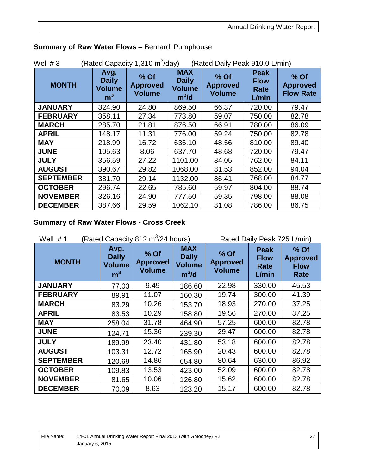| (Rated Capacity 1,310 $m^3$ /day)<br>(Rated Daily Peak 910.0 L/min)<br>Well $# 3$ |                                                         |                                            |                                                        |                                            |                                             |                                               |  |
|-----------------------------------------------------------------------------------|---------------------------------------------------------|--------------------------------------------|--------------------------------------------------------|--------------------------------------------|---------------------------------------------|-----------------------------------------------|--|
| <b>MONTH</b>                                                                      | Avg.<br><b>Daily</b><br><b>Volume</b><br>m <sup>3</sup> | $%$ Of<br><b>Approved</b><br><b>Volume</b> | <b>MAX</b><br><b>Daily</b><br><b>Volume</b><br>$m^3/d$ | $%$ Of<br><b>Approved</b><br><b>Volume</b> | <b>Peak</b><br><b>Flow</b><br>Rate<br>L/min | $%$ Of<br><b>Approved</b><br><b>Flow Rate</b> |  |
| <b>JANUARY</b>                                                                    | 324.90                                                  | 24.80                                      | 869.50                                                 | 66.37                                      | 720.00                                      | 79.47                                         |  |
| <b>FEBRUARY</b>                                                                   | 358.11                                                  | 27.34                                      | 773.80                                                 | 59.07                                      | 750.00                                      | 82.78                                         |  |
| <b>MARCH</b>                                                                      | 285.70                                                  | 21.81                                      | 876.50                                                 | 66.91                                      | 780.00                                      | 86.09                                         |  |
| <b>APRIL</b>                                                                      | 148.17                                                  | 11.31                                      | 776.00                                                 | 59.24                                      | 750.00                                      | 82.78                                         |  |
| <b>MAY</b>                                                                        | 218.99                                                  | 16.72                                      | 636.10                                                 | 48.56                                      | 810.00                                      | 89.40                                         |  |
| <b>JUNE</b>                                                                       | 105.63                                                  | 8.06                                       | 637.70                                                 | 48.68                                      | 720.00                                      | 79.47                                         |  |
| <b>JULY</b>                                                                       | 356.59                                                  | 27.22                                      | 1101.00                                                | 84.05                                      | 762.00                                      | 84.11                                         |  |
| <b>AUGUST</b>                                                                     | 390.67                                                  | 29.82                                      | 1068.00                                                | 81.53                                      | 852.00                                      | 94.04                                         |  |
| <b>SEPTEMBER</b>                                                                  | 381.70                                                  | 29.14                                      | 1132.00                                                | 86.41                                      | 768.00                                      | 84.77                                         |  |
| <b>OCTOBER</b>                                                                    | 296.74                                                  | 22.65                                      | 785.60                                                 | 59.97                                      | 804.00                                      | 88.74                                         |  |
| <b>NOVEMBER</b>                                                                   | 326.16                                                  | 24.90                                      | 777.50                                                 | 59.35                                      | 798.00                                      | 88.08                                         |  |
| <b>DECEMBER</b>                                                                   | 387.66                                                  | 29.59                                      | 1062.10                                                | 81.08                                      | 786.00                                      | 86.75                                         |  |

## **Summary of Raw Water Flows –** Bernardi Pumphouse

### **Summary of Raw Water Flows - Cross Creek**

| (Rated Capacity 812 m <sup>3</sup> /24 hours)<br>Well $# 1$ | Rated Daily Peak 725 L/min)                             |                                          |                                                        |                                          |                                             |                                                |
|-------------------------------------------------------------|---------------------------------------------------------|------------------------------------------|--------------------------------------------------------|------------------------------------------|---------------------------------------------|------------------------------------------------|
| <b>MONTH</b>                                                | Avg.<br><b>Daily</b><br><b>Volume</b><br>m <sup>3</sup> | % Of<br><b>Approved</b><br><b>Volume</b> | <b>MAX</b><br><b>Daily</b><br><b>Volume</b><br>$m^3/d$ | % Of<br><b>Approved</b><br><b>Volume</b> | <b>Peak</b><br><b>Flow</b><br>Rate<br>L/min | % Of<br><b>Approved</b><br><b>Flow</b><br>Rate |
| <b>JANUARY</b>                                              | 77.03                                                   | 9.49                                     | 186.60                                                 | 22.98                                    | 330.00                                      | 45.53                                          |
| <b>FEBRUARY</b>                                             | 89.91                                                   | 11.07                                    | 160.30                                                 | 19.74                                    | 300.00                                      | 41.39                                          |
| <b>MARCH</b>                                                | 83.29                                                   | 10.26                                    | 153.70                                                 | 18.93                                    | 270.00                                      | 37.25                                          |
| <b>APRIL</b>                                                | 83.53                                                   | 10.29                                    | 158.80                                                 | 19.56                                    | 270.00                                      | 37.25                                          |
| <b>MAY</b>                                                  | 258.04                                                  | 31.78                                    | 464.90                                                 | 57.25                                    | 600.00                                      | 82.78                                          |
| <b>JUNE</b>                                                 | 124.71                                                  | 15.36                                    | 239.30                                                 | 29.47                                    | 600.00                                      | 82.78                                          |
| <b>JULY</b>                                                 | 189.99                                                  | 23.40                                    | 431.80                                                 | 53.18                                    | 600.00                                      | 82.78                                          |
| <b>AUGUST</b>                                               | 103.31                                                  | 12.72                                    | 165.90                                                 | 20.43                                    | 600.00                                      | 82.78                                          |
| <b>SEPTEMBER</b>                                            | 120.69                                                  | 14.86                                    | 654.80                                                 | 80.64                                    | 630.00                                      | 86.92                                          |
| <b>OCTOBER</b>                                              | 109.83                                                  | 13.53                                    | 423.00                                                 | 52.09                                    | 600.00                                      | 82.78                                          |
| <b>NOVEMBER</b>                                             | 81.65                                                   | 10.06                                    | 126.80                                                 | 15.62                                    | 600.00                                      | 82.78                                          |
| <b>DECEMBER</b>                                             | 70.09                                                   | 8.63                                     | 123.20                                                 | 15.17                                    | 600.00                                      | 82.78                                          |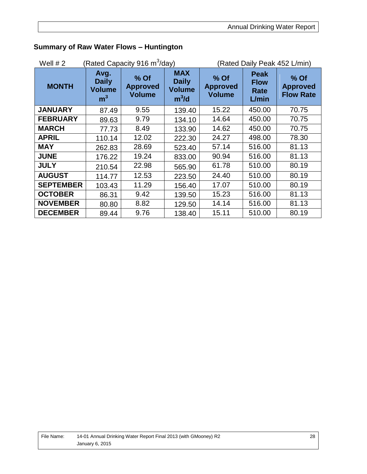| Well $# 2$       |                                                         | Rated Capacity 916 m <sup>3</sup> /day)  |                                                        | (Rated Daily Peak 452 L/min)             |                                                    |                                             |  |
|------------------|---------------------------------------------------------|------------------------------------------|--------------------------------------------------------|------------------------------------------|----------------------------------------------------|---------------------------------------------|--|
| <b>MONTH</b>     | Avg.<br><b>Daily</b><br><b>Volume</b><br>m <sup>3</sup> | % Of<br><b>Approved</b><br><b>Volume</b> | <b>MAX</b><br><b>Daily</b><br><b>Volume</b><br>$m^3/d$ | % Of<br><b>Approved</b><br><b>Volume</b> | <b>Peak</b><br><b>Flow</b><br><b>Rate</b><br>L/min | % Of<br><b>Approved</b><br><b>Flow Rate</b> |  |
| <b>JANUARY</b>   | 87.49                                                   | 9.55                                     | 139.40                                                 | 15.22                                    | 450.00                                             | 70.75                                       |  |
| <b>FEBRUARY</b>  | 89.63                                                   | 9.79                                     | 134.10                                                 | 14.64                                    | 450.00                                             | 70.75                                       |  |
| <b>MARCH</b>     | 77.73                                                   | 8.49                                     | 133.90                                                 | 14.62                                    | 450.00                                             | 70.75                                       |  |
| <b>APRIL</b>     | 110.14                                                  | 12.02                                    | 222.30                                                 | 24.27                                    | 498.00                                             | 78.30                                       |  |
| <b>MAY</b>       | 262.83                                                  | 28.69                                    | 523.40                                                 | 57.14                                    | 516.00                                             | 81.13                                       |  |
| <b>JUNE</b>      | 176.22                                                  | 19.24                                    | 833.00                                                 | 90.94                                    | 516.00                                             | 81.13                                       |  |
| <b>JULY</b>      | 210.54                                                  | 22.98                                    | 565.90                                                 | 61.78                                    | 510.00                                             | 80.19                                       |  |
| <b>AUGUST</b>    | 114.77                                                  | 12.53                                    | 223.50                                                 | 24.40                                    | 510.00                                             | 80.19                                       |  |
| <b>SEPTEMBER</b> | 103.43                                                  | 11.29                                    | 156.40                                                 | 17.07                                    | 510.00                                             | 80.19                                       |  |
| <b>OCTOBER</b>   | 86.31                                                   | 9.42                                     | 139.50                                                 | 15.23                                    | 516.00                                             | 81.13                                       |  |
| <b>NOVEMBER</b>  | 80.80                                                   | 8.82                                     | 129.50                                                 | 14.14                                    | 516.00                                             | 81.13                                       |  |
| <b>DECEMBER</b>  | 89.44                                                   | 9.76                                     | 138.40                                                 | 15.11                                    | 510.00                                             | 80.19                                       |  |

#### **Summary of Raw Water Flows – Huntington**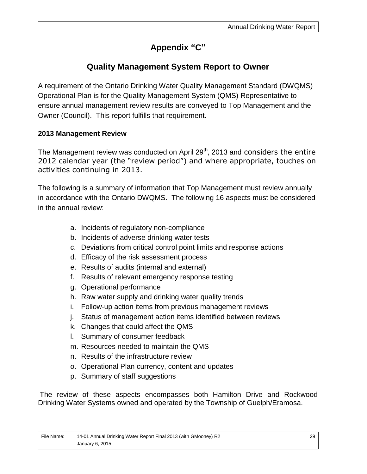## **Appendix "C"**

## **Quality Management System Report to Owner**

A requirement of the Ontario Drinking Water Quality Management Standard (DWQMS) Operational Plan is for the Quality Management System (QMS) Representative to ensure annual management review results are conveyed to Top Management and the Owner (Council). This report fulfills that requirement.

#### **2013 Management Review**

The Management review was conducted on April  $29<sup>th</sup>$ , 2013 and considers the entire 2012 calendar year (the "review period") and where appropriate, touches on activities continuing in 2013.

The following is a summary of information that Top Management must review annually in accordance with the Ontario DWQMS. The following 16 aspects must be considered in the annual review:

- a. Incidents of regulatory non-compliance
- b. Incidents of adverse drinking water tests
- c. Deviations from critical control point limits and response actions
- d. Efficacy of the risk assessment process
- e. Results of audits (internal and external)
- f. Results of relevant emergency response testing
- g. Operational performance
- h. Raw water supply and drinking water quality trends
- i. Follow-up action items from previous management reviews
- j. Status of management action items identified between reviews
- k. Changes that could affect the QMS
- l. Summary of consumer feedback
- m. Resources needed to maintain the QMS
- n. Results of the infrastructure review
- o. Operational Plan currency, content and updates
- p. Summary of staff suggestions

The review of these aspects encompasses both Hamilton Drive and Rockwood Drinking Water Systems owned and operated by the Township of Guelph/Eramosa.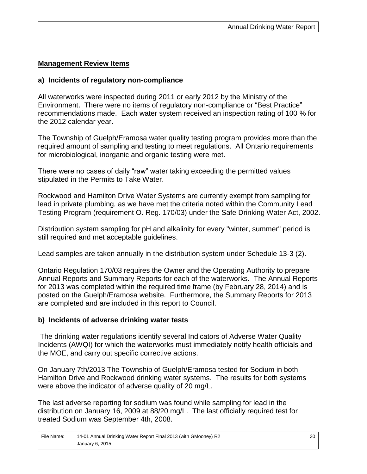#### **Management Review Items**

#### **a) Incidents of regulatory non-compliance**

All waterworks were inspected during 2011 or early 2012 by the Ministry of the Environment. There were no items of regulatory non-compliance or "Best Practice" recommendations made. Each water system received an inspection rating of 100 % for the 2012 calendar year.

The Township of Guelph/Eramosa water quality testing program provides more than the required amount of sampling and testing to meet regulations. All Ontario requirements for microbiological, inorganic and organic testing were met.

There were no cases of daily "raw" water taking exceeding the permitted values stipulated in the Permits to Take Water.

Rockwood and Hamilton Drive Water Systems are currently exempt from sampling for lead in private plumbing, as we have met the criteria noted within the Community Lead Testing Program (requirement O. Reg. 170/03) under the Safe Drinking Water Act, 2002.

Distribution system sampling for pH and alkalinity for every "winter, summer" period is still required and met acceptable guidelines.

Lead samples are taken annually in the distribution system under Schedule 13-3 (2).

Ontario Regulation 170/03 requires the Owner and the Operating Authority to prepare Annual Reports and Summary Reports for each of the waterworks. The Annual Reports for 2013 was completed within the required time frame (by February 28, 2014) and is posted on the Guelph/Eramosa website. Furthermore, the Summary Reports for 2013 are completed and are included in this report to Council.

#### **b) Incidents of adverse drinking water tests**

The drinking water regulations identify several Indicators of Adverse Water Quality Incidents (AWQI) for which the waterworks must immediately notify health officials and the MOE, and carry out specific corrective actions.

On January 7th/2013 The Township of Guelph/Eramosa tested for Sodium in both Hamilton Drive and Rockwood drinking water systems. The results for both systems were above the indicator of adverse quality of 20 mg/L.

The last adverse reporting for sodium was found while sampling for lead in the distribution on January 16, 2009 at 88/20 mg/L. The last officially required test for treated Sodium was September 4th, 2008.

| File Name: | 14-01 Annual Drinking Water Report Final 2013 (with GMooney) R2 |
|------------|-----------------------------------------------------------------|
|            | January 6, 2015                                                 |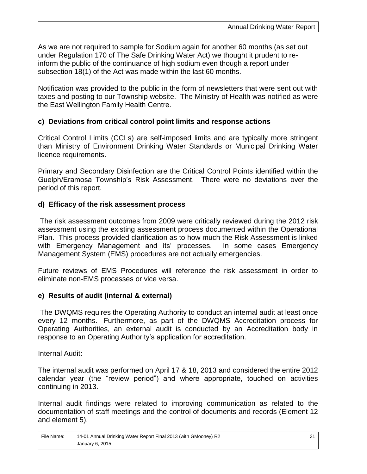As we are not required to sample for Sodium again for another 60 months (as set out under Regulation 170 of The Safe Drinking Water Act) we thought it prudent to reinform the public of the continuance of high sodium even though a report under subsection 18(1) of the Act was made within the last 60 months.

Notification was provided to the public in the form of newsletters that were sent out with taxes and posting to our Township website. The Ministry of Health was notified as were the East Wellington Family Health Centre.

#### **c) Deviations from critical control point limits and response actions**

Critical Control Limits (CCLs) are self-imposed limits and are typically more stringent than Ministry of Environment Drinking Water Standards or Municipal Drinking Water licence requirements.

Primary and Secondary Disinfection are the Critical Control Points identified within the Guelph/Eramosa Township's Risk Assessment. There were no deviations over the period of this report.

#### **d) Efficacy of the risk assessment process**

The risk assessment outcomes from 2009 were critically reviewed during the 2012 risk assessment using the existing assessment process documented within the Operational Plan. This process provided clarification as to how much the Risk Assessment is linked with Emergency Management and its' processes. In some cases Emergency Management System (EMS) procedures are not actually emergencies.

Future reviews of EMS Procedures will reference the risk assessment in order to eliminate non-EMS processes or vice versa.

#### **e) Results of audit (internal & external)**

The DWQMS requires the Operating Authority to conduct an internal audit at least once every 12 months. Furthermore, as part of the DWQMS Accreditation process for Operating Authorities, an external audit is conducted by an Accreditation body in response to an Operating Authority's application for accreditation.

Internal Audit:

The internal audit was performed on April 17 & 18, 2013 and considered the entire 2012 calendar year (the "review period") and where appropriate, touched on activities continuing in 2013.

Internal audit findings were related to improving communication as related to the documentation of staff meetings and the control of documents and records (Element 12 and element 5).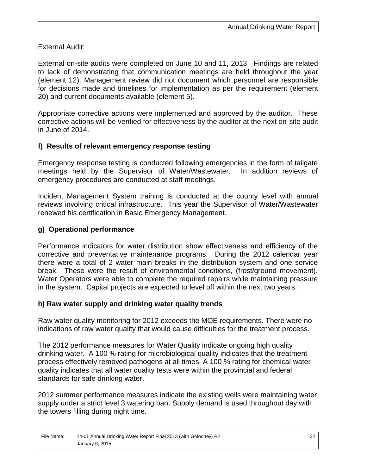External Audit:

External on-site audits were completed on June 10 and 11, 2013. Findings are related to lack of demonstrating that communication meetings are held throughout the year (element 12). Management review did not document which personnel are responsible for decisions made and timelines for implementation as per the requirement (element 20) and current documents available (element 5).

Appropriate corrective actions were implemented and approved by the auditor. These corrective actions will be verified for effectiveness by the auditor at the next on-site audit in June of 2014.

#### **f) Results of relevant emergency response testing**

Emergency response testing is conducted following emergencies in the form of tailgate meetings held by the Supervisor of Water/Wastewater. In addition reviews of emergency procedures are conducted at staff meetings.

Incident Management System training is conducted at the county level with annual reviews involving critical infrastructure. This year the Supervisor of Water/Wastewater renewed his certification in Basic Emergency Management.

#### **g) Operational performance**

Performance indicators for water distribution show effectiveness and efficiency of the corrective and preventative maintenance programs. During the 2012 calendar year there were a total of 2 water main breaks in the distribution system and one service break. These were the result of environmental conditions, (frost/ground movement). Water Operators were able to complete the required repairs while maintaining pressure in the system. Capital projects are expected to level off within the next two years.

#### **h) Raw water supply and drinking water quality trends**

Raw water quality monitoring for 2012 exceeds the MOE requirements. There were no indications of raw water quality that would cause difficulties for the treatment process.

The 2012 performance measures for Water Quality indicate ongoing high quality drinking water. A 100 % rating for microbiological quality indicates that the treatment process effectively removed pathogens at all times. A 100 % rating for chemical water quality indicates that all water quality tests were within the provincial and federal standards for safe drinking water.

2012 summer performance measures indicate the existing wells were maintaining water supply under a strict level 3 watering ban. Supply demand is used throughout day with the towers filling during night time.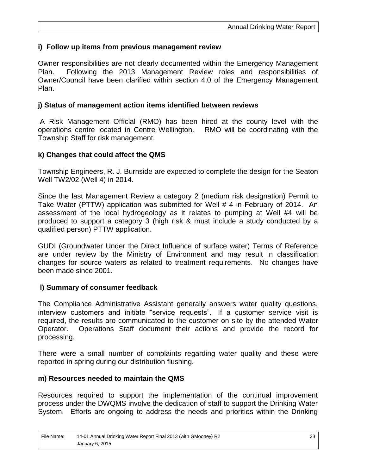#### **i) Follow up items from previous management review**

Owner responsibilities are not clearly documented within the Emergency Management Plan. Following the 2013 Management Review roles and responsibilities of Owner/Council have been clarified within section 4.0 of the Emergency Management Plan.

#### **j) Status of management action items identified between reviews**

A Risk Management Official (RMO) has been hired at the county level with the operations centre located in Centre Wellington. RMO will be coordinating with the Township Staff for risk management.

#### **k) Changes that could affect the QMS**

Township Engineers, R. J. Burnside are expected to complete the design for the Seaton Well TW2/02 (Well 4) in 2014.

Since the last Management Review a category 2 (medium risk designation) Permit to Take Water (PTTW) application was submitted for Well # 4 in February of 2014. An assessment of the local hydrogeology as it relates to pumping at Well #4 will be produced to support a category 3 (high risk & must include a study conducted by a qualified person) PTTW application.

GUDI (Groundwater Under the Direct Influence of surface water) Terms of Reference are under review by the Ministry of Environment and may result in classification changes for source waters as related to treatment requirements. No changes have been made since 2001.

#### **l) Summary of consumer feedback**

The Compliance Administrative Assistant generally answers water quality questions, interview customers and initiate "service requests". If a customer service visit is required, the results are communicated to the customer on site by the attended Water Operator. Operations Staff document their actions and provide the record for processing.

There were a small number of complaints regarding water quality and these were reported in spring during our distribution flushing.

#### **m) Resources needed to maintain the QMS**

Resources required to support the implementation of the continual improvement process under the DWQMS involve the dedication of staff to support the Drinking Water System. Efforts are ongoing to address the needs and priorities within the Drinking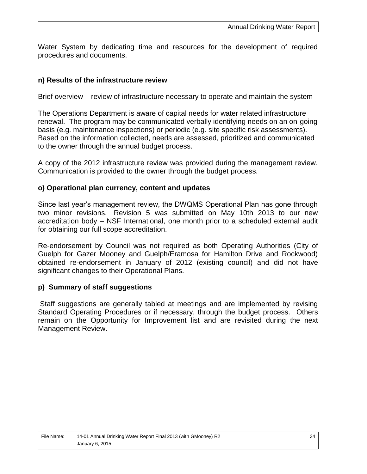Water System by dedicating time and resources for the development of required procedures and documents.

#### **n) Results of the infrastructure review**

Brief overview – review of infrastructure necessary to operate and maintain the system

The Operations Department is aware of capital needs for water related infrastructure renewal. The program may be communicated verbally identifying needs on an on-going basis (e.g. maintenance inspections) or periodic (e.g. site specific risk assessments). Based on the information collected, needs are assessed, prioritized and communicated to the owner through the annual budget process.

A copy of the 2012 infrastructure review was provided during the management review. Communication is provided to the owner through the budget process.

#### **o) Operational plan currency, content and updates**

Since last year's management review, the DWQMS Operational Plan has gone through two minor revisions. Revision 5 was submitted on May 10th 2013 to our new accreditation body – NSF International, one month prior to a scheduled external audit for obtaining our full scope accreditation.

Re-endorsement by Council was not required as both Operating Authorities (City of Guelph for Gazer Mooney and Guelph/Eramosa for Hamilton Drive and Rockwood) obtained re-endorsement in January of 2012 (existing council) and did not have significant changes to their Operational Plans.

#### **p) Summary of staff suggestions**

Staff suggestions are generally tabled at meetings and are implemented by revising Standard Operating Procedures or if necessary, through the budget process. Others remain on the Opportunity for Improvement list and are revisited during the next Management Review.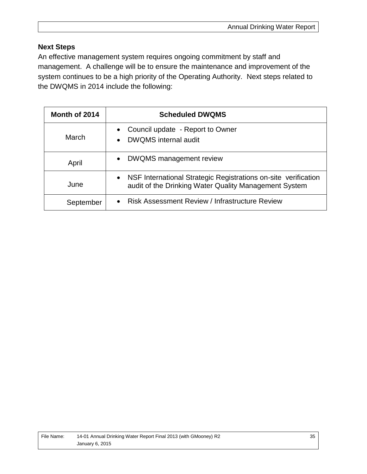#### **Next Steps**

An effective management system requires ongoing commitment by staff and management. A challenge will be to ensure the maintenance and improvement of the system continues to be a high priority of the Operating Authority. Next steps related to the DWQMS in 2014 include the following:

| Month of 2014 | <b>Scheduled DWQMS</b>                                                                                                               |
|---------------|--------------------------------------------------------------------------------------------------------------------------------------|
| March         | Council update - Report to Owner<br>$\bullet$<br>DWQMS internal audit<br>$\bullet$                                                   |
| April         | <b>DWQMS</b> management review<br>$\bullet$                                                                                          |
| June          | NSF International Strategic Registrations on-site verification<br>$\bullet$<br>audit of the Drinking Water Quality Management System |
| September     | <b>Risk Assessment Review / Infrastructure Review</b><br>$\bullet$                                                                   |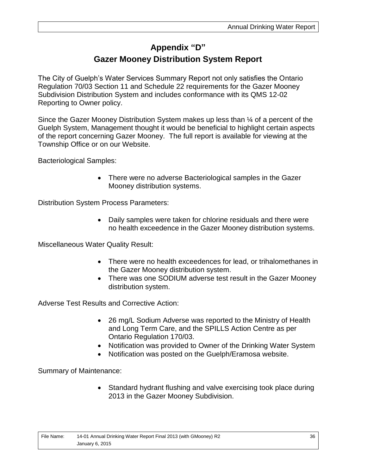## **Appendix "D" Gazer Mooney Distribution System Report**

The City of Guelph's Water Services Summary Report not only satisfies the Ontario Regulation 70/03 Section 11 and Schedule 22 requirements for the Gazer Mooney Subdivision Distribution System and includes conformance with its QMS 12-02 Reporting to Owner policy.

Since the Gazer Mooney Distribution System makes up less than ¼ of a percent of the Guelph System, Management thought it would be beneficial to highlight certain aspects of the report concerning Gazer Mooney. The full report is available for viewing at the Township Office or on our Website.

Bacteriological Samples:

 There were no adverse Bacteriological samples in the Gazer Mooney distribution systems.

Distribution System Process Parameters:

 Daily samples were taken for chlorine residuals and there were no health exceedence in the Gazer Mooney distribution systems.

Miscellaneous Water Quality Result:

- There were no health exceedences for lead, or trihalomethanes in the Gazer Mooney distribution system.
- There was one SODIUM adverse test result in the Gazer Mooney distribution system.

Adverse Test Results and Corrective Action:

- 26 mg/L Sodium Adverse was reported to the Ministry of Health and Long Term Care, and the SPILLS Action Centre as per Ontario Regulation 170/03.
- Notification was provided to Owner of the Drinking Water System
- Notification was posted on the Guelph/Eramosa website.

Summary of Maintenance:

• Standard hydrant flushing and valve exercising took place during 2013 in the Gazer Mooney Subdivision.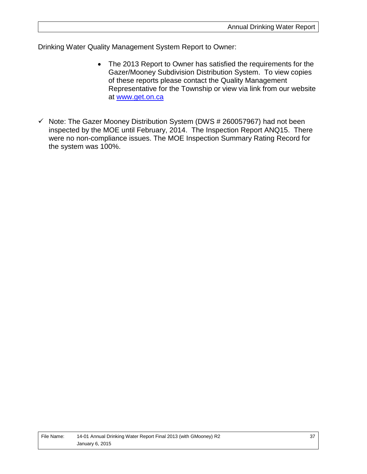Drinking Water Quality Management System Report to Owner:

- The 2013 Report to Owner has satisfied the requirements for the Gazer/Mooney Subdivision Distribution System. To view copies of these reports please contact the Quality Management Representative for the Township or view via link from our website at [www.get.on.ca](http://www.get.on.ca/)
- $\checkmark$  Note: The Gazer Mooney Distribution System (DWS # 260057967) had not been inspected by the MOE until February, 2014. The Inspection Report ANQ15. There were no non-compliance issues. The MOE Inspection Summary Rating Record for the system was 100%.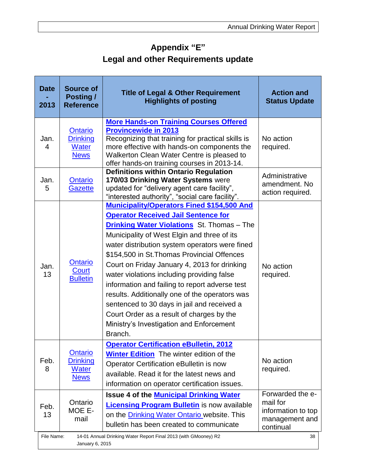# **Appendix "E" Legal and other Requirements update**

| <b>Date</b><br>2013                                                                                    | <b>Source of</b><br><b>Posting /</b><br><b>Reference</b>         | <b>Title of Legal &amp; Other Requirement</b><br><b>Highlights of posting</b>                                                                                                                                                                                                                                                                                                                                                                                                                                                                                                                                                                             | <b>Action and</b><br><b>Status Update</b>                                         |
|--------------------------------------------------------------------------------------------------------|------------------------------------------------------------------|-----------------------------------------------------------------------------------------------------------------------------------------------------------------------------------------------------------------------------------------------------------------------------------------------------------------------------------------------------------------------------------------------------------------------------------------------------------------------------------------------------------------------------------------------------------------------------------------------------------------------------------------------------------|-----------------------------------------------------------------------------------|
| Jan.<br>4                                                                                              | <b>Ontario</b><br><b>Drinking</b><br><b>Water</b><br><b>News</b> | <b>More Hands-on Training Courses Offered</b><br><b>Provincewide in 2013</b><br>Recognizing that training for practical skills is<br>more effective with hands-on components the<br>Walkerton Clean Water Centre is pleased to<br>offer hands-on training courses in 2013-14.                                                                                                                                                                                                                                                                                                                                                                             | No action<br>required.                                                            |
| Jan.<br>5                                                                                              | <b>Ontario</b><br>Gazette                                        | <b>Definitions within Ontario Regulation</b><br>170/03 Drinking Water Systems were<br>updated for "delivery agent care facility",<br>"interested authority", "social care facility".                                                                                                                                                                                                                                                                                                                                                                                                                                                                      | Administrative<br>amendment. No<br>action required.                               |
| Jan.<br>13                                                                                             | <b>Ontario</b><br><b>Court</b><br><b>Bulletin</b>                | <b>Municipality/Operators Fined \$154,500 And</b><br><b>Operator Received Jail Sentence for</b><br><b>Drinking Water Violations</b> St. Thomas - The<br>Municipality of West Elgin and three of its<br>water distribution system operators were fined<br>\$154,500 in St. Thomas Provincial Offences<br>Court on Friday January 4, 2013 for drinking<br>water violations including providing false<br>information and failing to report adverse test<br>results. Additionally one of the operators was<br>sentenced to 30 days in jail and received a<br>Court Order as a result of charges by the<br>Ministry's Investigation and Enforcement<br>Branch. | No action<br>required.                                                            |
| Feb.<br>8                                                                                              | <b>Ontario</b><br><b>Drinking</b><br><b>Water</b><br><b>News</b> | <b>Operator Certification eBulletin, 2012</b><br><b>Winter Edition</b> The winter edition of the<br>Operator Certification eBulletin is now<br>available. Read it for the latest news and<br>information on operator certification issues.                                                                                                                                                                                                                                                                                                                                                                                                                | No action<br>required.                                                            |
| Feb.<br>13                                                                                             | Ontario<br>MOE E-<br>mail                                        | <b>Issue 4 of the Municipal Drinking Water</b><br><b>Licensing Program Bulletin</b> is now available<br>on the Drinking Water Ontario website. This<br>bulletin has been created to communicate                                                                                                                                                                                                                                                                                                                                                                                                                                                           | Forwarded the e-<br>mail for<br>information to top<br>management and<br>continual |
| File Name:<br>14-01 Annual Drinking Water Report Final 2013 (with GMooney) R2<br>38<br>January 6, 2015 |                                                                  |                                                                                                                                                                                                                                                                                                                                                                                                                                                                                                                                                                                                                                                           |                                                                                   |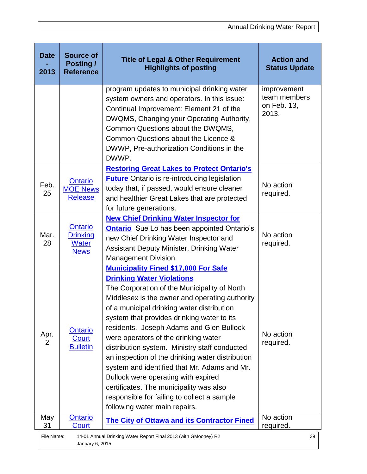| <b>Date</b><br>2013                                                                                    | <b>Source of</b><br><b>Posting /</b><br><b>Reference</b>         | <b>Title of Legal &amp; Other Requirement</b><br><b>Highlights of posting</b>                                                                                                                                                                                                                                                                                                                                                                                                                                                                                                                                                                                                            | <b>Action and</b><br><b>Status Update</b>           |
|--------------------------------------------------------------------------------------------------------|------------------------------------------------------------------|------------------------------------------------------------------------------------------------------------------------------------------------------------------------------------------------------------------------------------------------------------------------------------------------------------------------------------------------------------------------------------------------------------------------------------------------------------------------------------------------------------------------------------------------------------------------------------------------------------------------------------------------------------------------------------------|-----------------------------------------------------|
|                                                                                                        |                                                                  | program updates to municipal drinking water<br>system owners and operators. In this issue:<br>Continual Improvement: Element 21 of the<br>DWQMS, Changing your Operating Authority,<br>Common Questions about the DWQMS,<br>Common Questions about the Licence &<br>DWWP, Pre-authorization Conditions in the<br>DWWP.                                                                                                                                                                                                                                                                                                                                                                   | improvement<br>team members<br>on Feb. 13,<br>2013. |
| Feb.<br>25                                                                                             | Ontario<br><b>MOE News</b><br><b>Release</b>                     | <b>Restoring Great Lakes to Protect Ontario's</b><br><b>Future</b> Ontario is re-introducing legislation<br>today that, if passed, would ensure cleaner<br>and healthier Great Lakes that are protected<br>for future generations.                                                                                                                                                                                                                                                                                                                                                                                                                                                       | No action<br>required.                              |
| Mar.<br>28                                                                                             | <u>Ontario</u><br><b>Drinking</b><br><b>Water</b><br><b>News</b> | <b>New Chief Drinking Water Inspector for</b><br><b>Ontario</b> Sue Lo has been appointed Ontario's<br>new Chief Drinking Water Inspector and<br><b>Assistant Deputy Minister, Drinking Water</b><br>Management Division.                                                                                                                                                                                                                                                                                                                                                                                                                                                                | No action<br>required.                              |
| Apr.<br>2                                                                                              | Ontario<br>Court<br><b>Bulletin</b>                              | <b>Municipality Fined \$17,000 For Safe</b><br><b>Drinking Water Violations</b><br>The Corporation of the Municipality of North<br>Middlesex is the owner and operating authority<br>of a municipal drinking water distribution<br>system that provides drinking water to its<br>residents. Joseph Adams and Glen Bullock<br>were operators of the drinking water<br>distribution system. Ministry staff conducted<br>an inspection of the drinking water distribution<br>system and identified that Mr. Adams and Mr.<br>Bullock were operating with expired<br>certificates. The municipality was also<br>responsible for failing to collect a sample<br>following water main repairs. | No action<br>required.                              |
| May<br>31                                                                                              | <b>Ontario</b><br>Court                                          | <b>The City of Ottawa and its Contractor Fined</b>                                                                                                                                                                                                                                                                                                                                                                                                                                                                                                                                                                                                                                       | No action<br>required.                              |
| File Name:<br>14-01 Annual Drinking Water Report Final 2013 (with GMooney) R2<br>39<br>January 6, 2015 |                                                                  |                                                                                                                                                                                                                                                                                                                                                                                                                                                                                                                                                                                                                                                                                          |                                                     |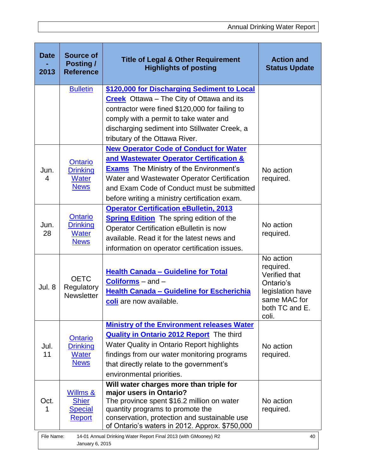| <b>Date</b><br>2013                                                                                    | <b>Source of</b><br><b>Posting /</b><br><b>Reference</b>         | <b>Title of Legal &amp; Other Requirement</b><br><b>Highlights of posting</b>                                                                                                                                                                                                            | <b>Action and</b><br><b>Status Update</b>                                                                           |
|--------------------------------------------------------------------------------------------------------|------------------------------------------------------------------|------------------------------------------------------------------------------------------------------------------------------------------------------------------------------------------------------------------------------------------------------------------------------------------|---------------------------------------------------------------------------------------------------------------------|
|                                                                                                        | <b>Bulletin</b>                                                  | \$120,000 for Discharging Sediment to Local<br><b>Creek</b> Ottawa – The City of Ottawa and its<br>contractor were fined \$120,000 for failing to<br>comply with a permit to take water and<br>discharging sediment into Stillwater Creek, a<br>tributary of the Ottawa River.           |                                                                                                                     |
| Jun.<br>4                                                                                              | Ontario<br><b>Drinking</b><br><b>Water</b><br><b>News</b>        | <b>New Operator Code of Conduct for Water</b><br>and Wastewater Operator Certification &<br><b>Exams</b> The Ministry of the Environment's<br>Water and Wastewater Operator Certification<br>and Exam Code of Conduct must be submitted<br>before writing a ministry certification exam. | No action<br>required.                                                                                              |
| Jun.<br>28                                                                                             | Ontario<br><b>Drinking</b><br>Water<br><b>News</b>               | <b>Operator Certification eBulletin, 2013</b><br><b>Spring Edition</b> The spring edition of the<br>Operator Certification eBulletin is now<br>available. Read it for the latest news and<br>information on operator certification issues.                                               | No action<br>required.                                                                                              |
| Jul. 8                                                                                                 | <b>OETC</b><br>Regulatory<br><b>Newsletter</b>                   | <b>Health Canada - Guideline for Total</b><br><b>Coliforms</b> – and –<br><b>Health Canada - Guideline for Escherichia</b><br>coli are now available.                                                                                                                                    | No action<br>required.<br>Verified that<br>Ontario's<br>legislation have<br>same MAC for<br>both TC and E.<br>coli. |
| Jul.<br>11                                                                                             | <b>Ontario</b><br><b>Drinking</b><br><b>Water</b><br><b>News</b> | <b>Ministry of the Environment releases Water</b><br><b>Quality in Ontario 2012 Report</b> The third<br>Water Quality in Ontario Report highlights<br>findings from our water monitoring programs<br>that directly relate to the government's<br>environmental priorities.               | No action<br>required.                                                                                              |
| Oct.                                                                                                   | Willms &<br><b>Shier</b><br><b>Special</b><br>Report             | Will water charges more than triple for<br>major users in Ontario?<br>The province spent \$16.2 million on water<br>quantity programs to promote the<br>conservation, protection and sustainable use<br>of Ontario's waters in 2012. Approx. \$750,000                                   | No action<br>required.                                                                                              |
| 14-01 Annual Drinking Water Report Final 2013 (with GMooney) R2<br>File Name:<br>40<br>January 6, 2015 |                                                                  |                                                                                                                                                                                                                                                                                          |                                                                                                                     |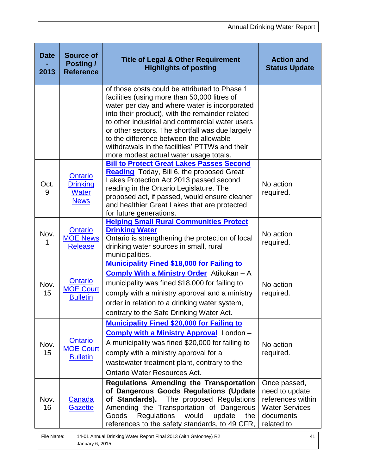| <b>Date</b><br>2013                                                                                    | <b>Source of</b><br><b>Posting /</b><br><b>Reference</b>  | <b>Title of Legal &amp; Other Requirement</b><br><b>Highlights of posting</b>                                                                                                                                                                                                                                                                                                                                                                 | <b>Action and</b><br><b>Status Update</b>                                                               |
|--------------------------------------------------------------------------------------------------------|-----------------------------------------------------------|-----------------------------------------------------------------------------------------------------------------------------------------------------------------------------------------------------------------------------------------------------------------------------------------------------------------------------------------------------------------------------------------------------------------------------------------------|---------------------------------------------------------------------------------------------------------|
|                                                                                                        |                                                           | of those costs could be attributed to Phase 1<br>facilities (using more than 50,000 litres of<br>water per day and where water is incorporated<br>into their product), with the remainder related<br>to other industrial and commercial water users<br>or other sectors. The shortfall was due largely<br>to the difference between the allowable<br>withdrawals in the facilities' PTTWs and their<br>more modest actual water usage totals. |                                                                                                         |
| Oct.<br>9                                                                                              | <b>Ontario</b><br><b>Drinking</b><br>Water<br><b>News</b> | <b>Bill to Protect Great Lakes Passes Second</b><br><b>Reading</b> Today, Bill 6, the proposed Great<br>Lakes Protection Act 2013 passed second<br>reading in the Ontario Legislature. The<br>proposed act, if passed, would ensure cleaner<br>and healthier Great Lakes that are protected<br>for future generations.                                                                                                                        | No action<br>required.                                                                                  |
| Nov.<br>1                                                                                              | Ontario<br><b>MOE News</b><br><b>Release</b>              | <b>Helping Small Rural Communities Protect</b><br><b>Drinking Water</b><br>Ontario is strengthening the protection of local<br>drinking water sources in small, rural<br>municipalities.                                                                                                                                                                                                                                                      | No action<br>required.                                                                                  |
| Nov.<br>15                                                                                             | Ontario<br><b>MOE Court</b><br><b>Bulletin</b>            | <b>Municipality Fined \$18,000 for Failing to</b><br><b>Comply With a Ministry Order</b> Atikokan - A<br>municipality was fined \$18,000 for failing to<br>comply with a ministry approval and a ministry<br>order in relation to a drinking water system,<br>contrary to the Safe Drinking Water Act.                                                                                                                                        | No action<br>required.                                                                                  |
| Nov.<br>15                                                                                             | Ontario<br><b>MOE Court</b><br><b>Bulletin</b>            | <b>Municipality Fined \$20,000 for Failing to</b><br><b>Comply with a Ministry Approval</b> London -<br>A municipality was fined \$20,000 for failing to<br>comply with a ministry approval for a<br>wastewater treatment plant, contrary to the<br><b>Ontario Water Resources Act.</b>                                                                                                                                                       | No action<br>required.                                                                                  |
| Nov.<br>16                                                                                             | Canada<br>Gazette                                         | <b>Regulations Amending the Transportation</b><br>of Dangerous Goods Regulations (Update<br>of Standards).<br>The proposed Regulations<br>Amending the Transportation of Dangerous<br>Goods<br><b>Regulations</b><br>would<br>update<br>the<br>references to the safety standards, to 49 CFR,                                                                                                                                                 | Once passed,<br>need to update<br>references within<br><b>Water Services</b><br>documents<br>related to |
| File Name:<br>14-01 Annual Drinking Water Report Final 2013 (with GMooney) R2<br>41<br>January 6, 2015 |                                                           |                                                                                                                                                                                                                                                                                                                                                                                                                                               |                                                                                                         |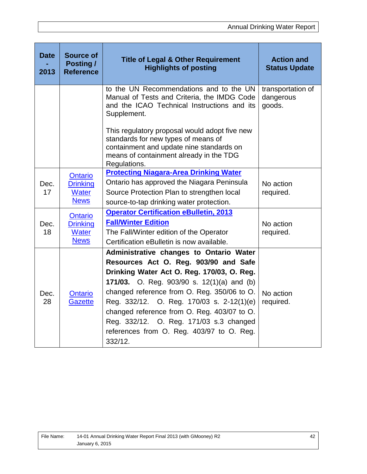| <b>Date</b><br>2013 | <b>Source of</b><br>Posting /<br><b>Reference</b>                | <b>Title of Legal &amp; Other Requirement</b><br><b>Highlights of posting</b>                                                                                                                                                                                                                                                                                                                                              | <b>Action and</b><br><b>Status Update</b> |
|---------------------|------------------------------------------------------------------|----------------------------------------------------------------------------------------------------------------------------------------------------------------------------------------------------------------------------------------------------------------------------------------------------------------------------------------------------------------------------------------------------------------------------|-------------------------------------------|
|                     |                                                                  | to the UN Recommendations and to the UN<br>Manual of Tests and Criteria, the IMDG Code<br>and the ICAO Technical Instructions and its<br>Supplement.                                                                                                                                                                                                                                                                       | transportation of<br>dangerous<br>goods.  |
|                     |                                                                  | This regulatory proposal would adopt five new<br>standards for new types of means of<br>containment and update nine standards on<br>means of containment already in the TDG<br>Regulations.                                                                                                                                                                                                                                |                                           |
| Dec.<br>17          | <b>Ontario</b><br><b>Drinking</b><br><b>Water</b><br><b>News</b> | <b>Protecting Niagara-Area Drinking Water</b><br>Ontario has approved the Niagara Peninsula<br>Source Protection Plan to strengthen local<br>source-to-tap drinking water protection.                                                                                                                                                                                                                                      | No action<br>required.                    |
| Dec.<br>18          | <b>Ontario</b><br><b>Drinking</b><br><b>Water</b><br><b>News</b> | <b>Operator Certification eBulletin, 2013</b><br><b>Fall/Winter Edition</b><br>The Fall/Winter edition of the Operator<br>Certification eBulletin is now available.                                                                                                                                                                                                                                                        | No action<br>required.                    |
| Dec.<br>28          | <b>Ontario</b><br><b>Gazette</b>                                 | Administrative changes to Ontario Water<br>Resources Act O. Reg. 903/90 and Safe<br>Drinking Water Act O. Reg. 170/03, O. Reg.<br>171/03. O. Reg. 903/90 s. 12(1)(a) and (b)<br>changed reference from O. Reg. 350/06 to O.<br>Reg. 332/12. O. Reg. 170/03 s. 2-12(1)(e)<br>changed reference from O. Reg. 403/07 to O.<br>Reg. 332/12. O. Reg. 171/03 s.3 changed<br>references from O. Reg. 403/97 to O. Reg.<br>332/12. | No action<br>required.                    |